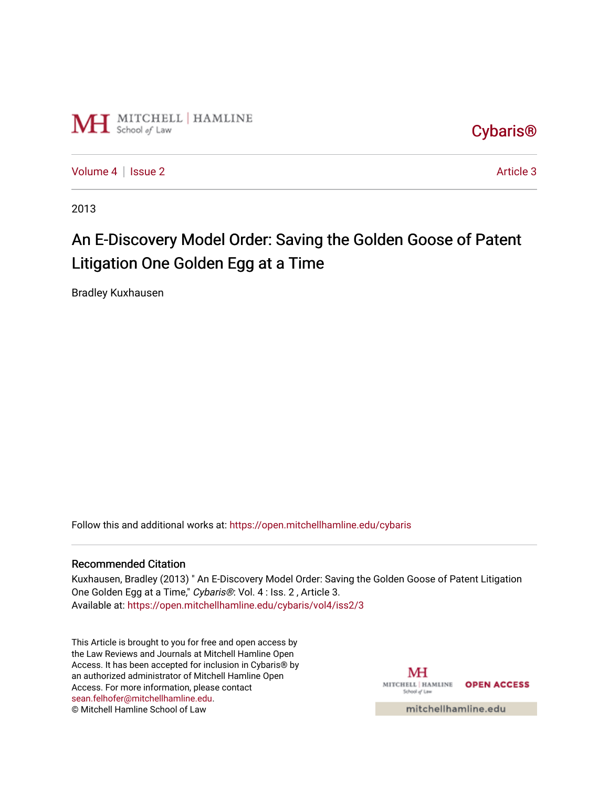

[Cybaris®](https://open.mitchellhamline.edu/cybaris) 

[Volume 4](https://open.mitchellhamline.edu/cybaris/vol4) | [Issue 2](https://open.mitchellhamline.edu/cybaris/vol4/iss2) Article 3

2013

# An E-Discovery Model Order: Saving the Golden Goose of Patent Litigation One Golden Egg at a Time

Bradley Kuxhausen

Follow this and additional works at: [https://open.mitchellhamline.edu/cybaris](https://open.mitchellhamline.edu/cybaris?utm_source=open.mitchellhamline.edu%2Fcybaris%2Fvol4%2Fiss2%2F3&utm_medium=PDF&utm_campaign=PDFCoverPages) 

#### Recommended Citation

Kuxhausen, Bradley (2013) " An E-Discovery Model Order: Saving the Golden Goose of Patent Litigation One Golden Egg at a Time," Cybaris®: Vol. 4 : Iss. 2, Article 3. Available at: [https://open.mitchellhamline.edu/cybaris/vol4/iss2/3](https://open.mitchellhamline.edu/cybaris/vol4/iss2/3?utm_source=open.mitchellhamline.edu%2Fcybaris%2Fvol4%2Fiss2%2F3&utm_medium=PDF&utm_campaign=PDFCoverPages)

This Article is brought to you for free and open access by the Law Reviews and Journals at Mitchell Hamline Open Access. It has been accepted for inclusion in Cybaris® by an authorized administrator of Mitchell Hamline Open Access. For more information, please contact [sean.felhofer@mitchellhamline.edu](mailto:sean.felhofer@mitchellhamline.edu). © Mitchell Hamline School of Law

MH MITCHELL | HAMLINE OPEN ACCESS School of Law

mitchellhamline.edu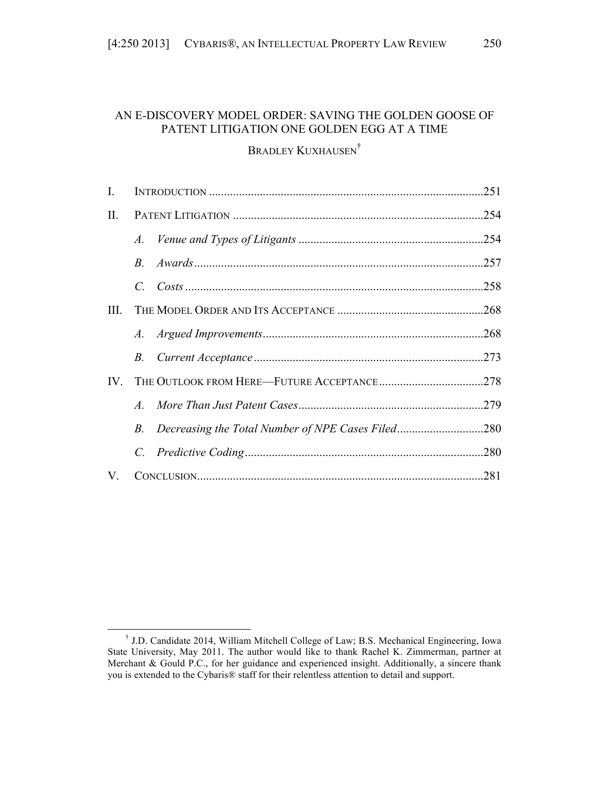# AN E-DISCOVERY MODEL ORDER: SAVING THE GOLDEN GOOSE OF PATENT LITIGATION ONE GOLDEN EGG AT A TIME

# BRADLEY KUXHAUSEN<sup>†</sup>

| I.   |             |      |      |
|------|-------------|------|------|
| II.  |             |      |      |
|      |             |      |      |
|      |             |      |      |
|      | $C_{\cdot}$ |      |      |
| III. |             |      |      |
|      |             |      |      |
|      |             |      |      |
| IV.  |             |      |      |
|      |             |      |      |
|      | B.          |      |      |
|      | $C_{\cdot}$ |      | .280 |
| V.   |             | .281 |      |

<sup>†</sup> J.D. Candidate 2014, William Mitchell College of Law; B.S. Mechanical Engineering, Iowa State University, May 2011. The author would like to thank Rachel K. Zimmerman, partner at Merchant & Gould P.C., for her guidance and experienced insight. Additionally, a sincere thank you is extended to the Cybaris® staff for their relentless attention to detail and support.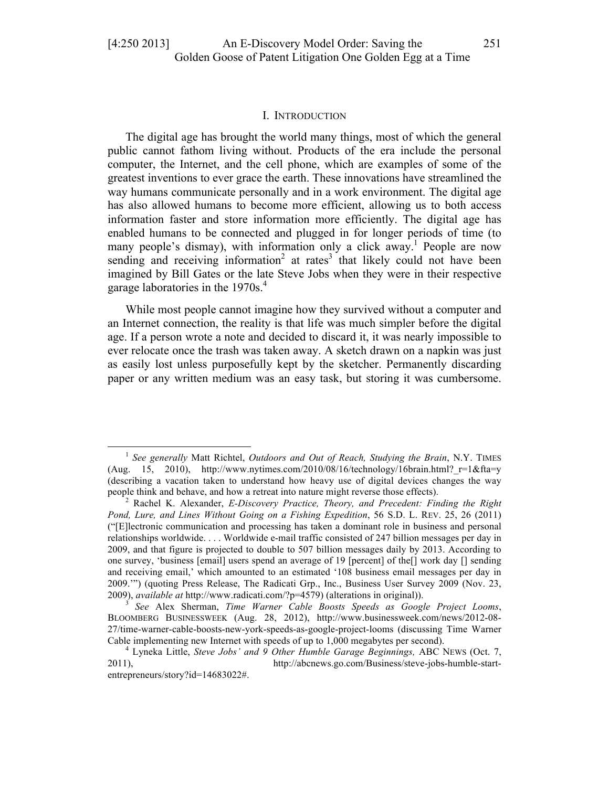#### I. INTRODUCTION

The digital age has brought the world many things, most of which the general public cannot fathom living without. Products of the era include the personal computer, the Internet, and the cell phone, which are examples of some of the greatest inventions to ever grace the earth. These innovations have streamlined the way humans communicate personally and in a work environment. The digital age has also allowed humans to become more efficient, allowing us to both access information faster and store information more efficiently. The digital age has enabled humans to be connected and plugged in for longer periods of time (to many people's dismay), with information only a click away.<sup>1</sup> People are now sending and receiving information<sup>2</sup> at rates<sup>3</sup> that likely could not have been imagined by Bill Gates or the late Steve Jobs when they were in their respective garage laboratories in the 1970s.<sup>4</sup>

While most people cannot imagine how they survived without a computer and an Internet connection, the reality is that life was much simpler before the digital age. If a person wrote a note and decided to discard it, it was nearly impossible to ever relocate once the trash was taken away. A sketch drawn on a napkin was just as easily lost unless purposefully kept by the sketcher. Permanently discarding paper or any written medium was an easy task, but storing it was cumbersome.

<sup>1</sup> *See generally* Matt Richtel, *Outdoors and Out of Reach, Studying the Brain*, N.Y. TIMES (Aug. 15, 2010), http://www.nytimes.com/2010/08/16/technology/16brain.html?  $r=1&fta=v$ (describing a vacation taken to understand how heavy use of digital devices changes the way people think and behave, and how a retreat into nature might reverse those effects). <sup>2</sup> Rachel K. Alexander, *E-Discovery Practice, Theory, and Precedent: Finding the Right* 

*Pond, Lure, and Lines Without Going on a Fishing Expedition*, 56 S.D. L. REV. 25, 26 (2011) ("[E]lectronic communication and processing has taken a dominant role in business and personal relationships worldwide. . . . Worldwide e-mail traffic consisted of 247 billion messages per day in 2009, and that figure is projected to double to 507 billion messages daily by 2013. According to one survey, 'business [email] users spend an average of 19 [percent] of the[] work day [] sending and receiving email,' which amounted to an estimated '108 business email messages per day in 2009.'") (quoting Press Release, The Radicati Grp., Inc., Business User Survey 2009 (Nov. 23, 2009), *available at* http://www.radicati.com/?p=4579) (alterations in original)). <sup>3</sup> *See* Alex Sherman, *Time Warner Cable Boosts Speeds as Google Project Looms*,

BLOOMBERG BUSINESSWEEK (Aug. 28, 2012), http://www.businessweek.com/news/2012-08- 27/time-warner-cable-boosts-new-york-speeds-as-google-project-looms (discussing Time Warner Cable implementing new Internet with speeds of up to 1,000 megabytes per second). <sup>4</sup> Lyneka Little, *Steve Jobs' and 9 Other Humble Garage Beginnings,* ABC NEWS (Oct. 7,

<sup>2011),</sup> http://abcnews.go.com/Business/steve-jobs-humble-startentrepreneurs/story?id=14683022#.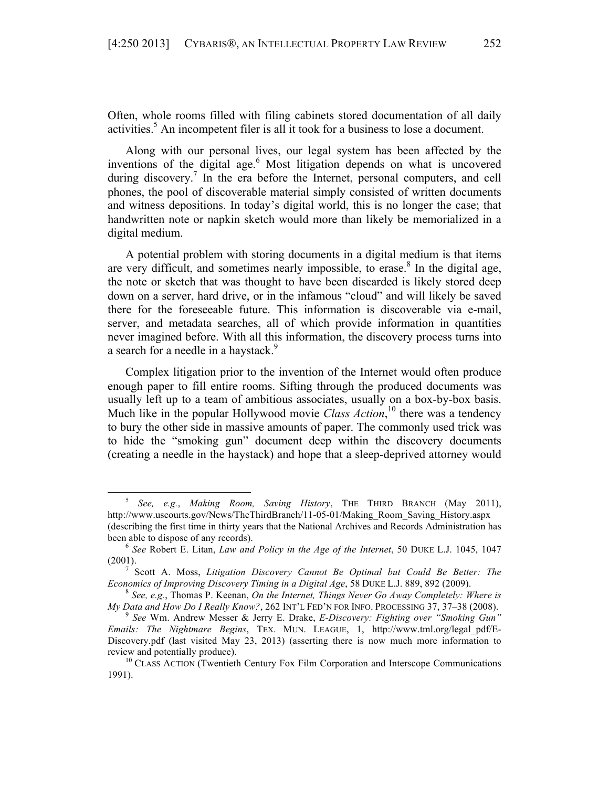Often, whole rooms filled with filing cabinets stored documentation of all daily activities.<sup>5</sup> An incompetent filer is all it took for a business to lose a document.

Along with our personal lives, our legal system has been affected by the inventions of the digital age. <sup>6</sup> Most litigation depends on what is uncovered during discovery.<sup>7</sup> In the era before the Internet, personal computers, and cell phones, the pool of discoverable material simply consisted of written documents and witness depositions. In today's digital world, this is no longer the case; that handwritten note or napkin sketch would more than likely be memorialized in a digital medium.

A potential problem with storing documents in a digital medium is that items are very difficult, and sometimes nearly impossible, to erase.<sup>8</sup> In the digital age, the note or sketch that was thought to have been discarded is likely stored deep down on a server, hard drive, or in the infamous "cloud" and will likely be saved there for the foreseeable future. This information is discoverable via e-mail, server, and metadata searches, all of which provide information in quantities never imagined before. With all this information, the discovery process turns into a search for a needle in a haystack.<sup>9</sup>

Complex litigation prior to the invention of the Internet would often produce enough paper to fill entire rooms. Sifting through the produced documents was usually left up to a team of ambitious associates, usually on a box-by-box basis. Much like in the popular Hollywood movie *Class Action*, <sup>10</sup> there was a tendency to bury the other side in massive amounts of paper. The commonly used trick was to hide the "smoking gun" document deep within the discovery documents (creating a needle in the haystack) and hope that a sleep-deprived attorney would

<sup>5</sup> *See, e.g.*, *Making Room, Saving History*, THE THIRD BRANCH (May 2011), http://www.uscourts.gov/News/TheThirdBranch/11-05-01/Making\_Room\_Saving\_History.aspx (describing the first time in thirty years that the National Archives and Records Administration has been able to dispose of any records). <sup>6</sup> *See* Robert E. Litan, *Law and Policy in the Age of the Internet*, 50 DUKE L.J. 1045, 1047

<sup>(2001).</sup> <sup>7</sup> Scott A. Moss, *Litigation Discovery Cannot Be Optimal but Could Be Better: The* 

*Economics of Improving Discovery Timing in a Digital Age, 58 DUKE L.J. 889, 892 (2009).* <sup>8</sup> *See, e.g., Thomas P. Keenan, <i>On the Internet, Things Never Go Away Completely: Where is* 

*My Data and How Do I Really Know?*, 262 INT'L FED'N FOR INFO. PROCESSING 37, 37–38 (2008).<br><sup>9</sup> *See Wm. Andrew Messer & Jerry E. Drake, <i>E-Discovery: Fighting over "Smoking Gun"* 

*Emails: The Nightmare Begins*, TEX. MUN. LEAGUE, 1, http://www.tml.org/legal\_pdf/E-Discovery.pdf (last visited May 23, 2013) (asserting there is now much more information to review and potentially produce).<br><sup>10</sup> CLASS ACTION (Twentieth Century Fox Film Corporation and Interscope Communications

<sup>1991).</sup>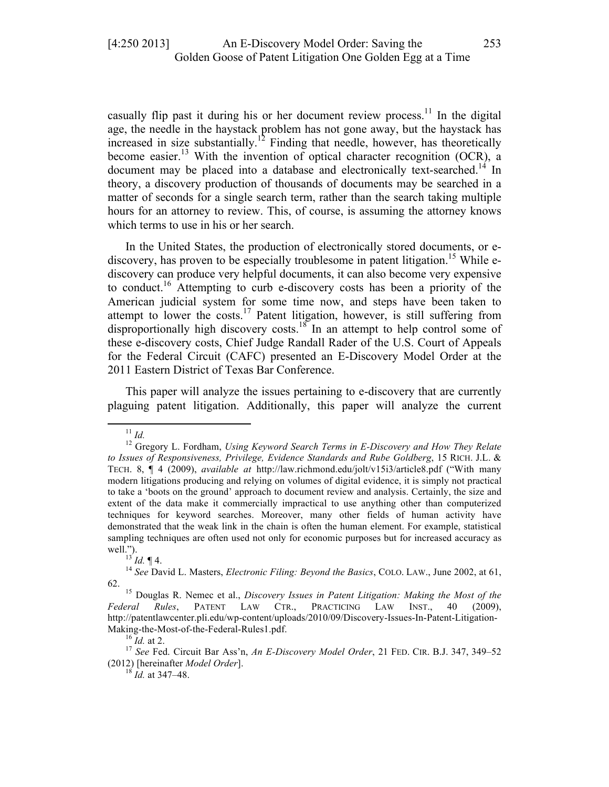casually flip past it during his or her document review process.<sup>11</sup> In the digital age, the needle in the haystack problem has not gone away, but the haystack has increased in size substantially.<sup>12</sup> Finding that needle, however, has theoretically become easier.<sup>13</sup> With the invention of optical character recognition (OCR), a document may be placed into a database and electronically text-searched.<sup>14</sup> In theory, a discovery production of thousands of documents may be searched in a matter of seconds for a single search term, rather than the search taking multiple hours for an attorney to review. This, of course, is assuming the attorney knows which terms to use in his or her search.

In the United States, the production of electronically stored documents, or ediscovery, has proven to be especially troublesome in patent litigation.<sup>15</sup> While ediscovery can produce very helpful documents, it can also become very expensive to conduct.<sup>16</sup> Attempting to curb e-discovery costs has been a priority of the American judicial system for some time now, and steps have been taken to attempt to lower the costs.<sup>17</sup> Patent litigation, however, is still suffering from disproportionally high discovery costs.<sup>18</sup> In an attempt to help control some of these e-discovery costs, Chief Judge Randall Rader of the U.S. Court of Appeals for the Federal Circuit (CAFC) presented an E-Discovery Model Order at the 2011 Eastern District of Texas Bar Conference.

This paper will analyze the issues pertaining to e-discovery that are currently plaguing patent litigation. Additionally, this paper will analyze the current

<sup>&</sup>lt;sup>11</sup> *Id.* 12 Gregory L. Fordham, *Using Keyword Search Terms in E-Discovery and How They Relate to Issues of Responsiveness, Privilege, Evidence Standards and Rube Goldberg*, 15 RICH. J.L. & TECH. 8, ¶ 4 (2009), *available at* http://law.richmond.edu/jolt/v15i3/article8.pdf ("With many modern litigations producing and relying on volumes of digital evidence, it is simply not practical to take a 'boots on the ground' approach to document review and analysis. Certainly, the size and extent of the data make it commercially impractical to use anything other than computerized techniques for keyword searches. Moreover, many other fields of human activity have demonstrated that the weak link in the chain is often the human element. For example, statistical sampling techniques are often used not only for economic purposes but for increased accuracy as well.").<br><sup>13</sup> *Id.* ¶ 4.<br><sup>14</sup> *See* David L. Masters, *Electronic Filing: Beyond the Basics*, COLO. LAW., June 2002, at 61,

<sup>62.</sup> <sup>15</sup> Douglas R. Nemec et al., *Discovery Issues in Patent Litigation: Making the Most of the Federal Rules*, PATENT LAW CTR., PRACTICING LAW INST., 40 (2009), http://patentlawcenter.pli.edu/wp-content/uploads/2010/09/Discovery-Issues-In-Patent-Litigation-Making-the-Most-of-the-Federal-Rules1.pdf.<br><sup>16</sup> *Id.* at 2. <sup>17</sup> *See* Fed. Circuit Bar Ass'n, *An E-Discovery Model Order*, 21 FED. CIR. B.J. 347, 349–52

<sup>(2012) [</sup>hereinafter *Model Order*]. <sup>18</sup> *Id.* at 347–48.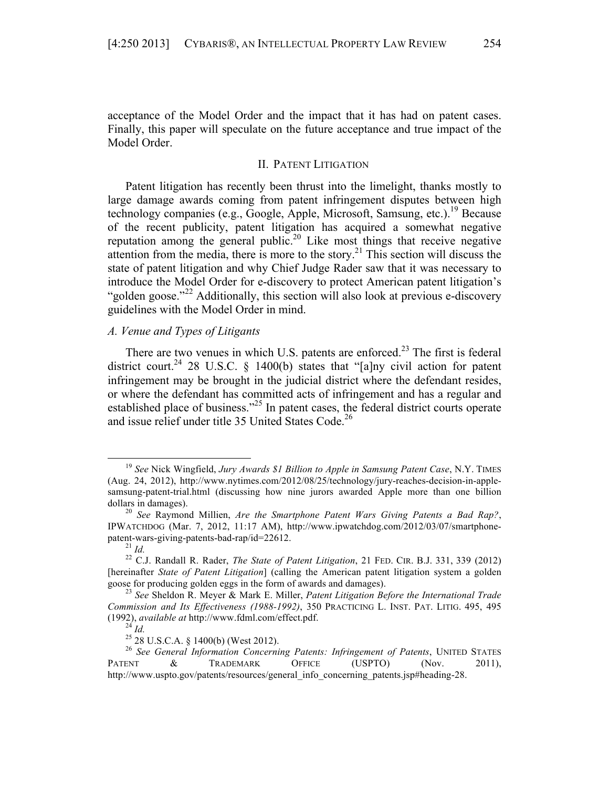acceptance of the Model Order and the impact that it has had on patent cases. Finally, this paper will speculate on the future acceptance and true impact of the Model Order.

# II. PATENT LITIGATION

Patent litigation has recently been thrust into the limelight, thanks mostly to large damage awards coming from patent infringement disputes between high technology companies (e.g., Google, Apple, Microsoft, Samsung, etc.).<sup>19</sup> Because of the recent publicity, patent litigation has acquired a somewhat negative reputation among the general public.20 Like most things that receive negative attention from the media, there is more to the story.<sup>21</sup> This section will discuss the state of patent litigation and why Chief Judge Rader saw that it was necessary to introduce the Model Order for e-discovery to protect American patent litigation's "golden goose."<sup>22</sup> Additionally, this section will also look at previous e-discovery guidelines with the Model Order in mind.

#### *A. Venue and Types of Litigants*

 

There are two venues in which U.S. patents are enforced.<sup>23</sup> The first is federal district court.<sup>24</sup> 28 U.S.C. § 1400(b) states that "[a]ny civil action for patent infringement may be brought in the judicial district where the defendant resides, or where the defendant has committed acts of infringement and has a regular and established place of business."<sup>25</sup> In patent cases, the federal district courts operate and issue relief under title 35 United States Code.<sup>26</sup>

<sup>19</sup> *See* Nick Wingfield, *Jury Awards \$1 Billion to Apple in Samsung Patent Case*, N.Y. TIMES (Aug. 24, 2012), http://www.nytimes.com/2012/08/25/technology/jury-reaches-decision-in-applesamsung-patent-trial.html (discussing how nine jurors awarded Apple more than one billion

dollars in damages). <sup>20</sup> *See* Raymond Millien, *Are the Smartphone Patent Wars Giving Patents a Bad Rap?*, IPWATCHDOG (Mar. 7, 2012, 11:17 AM), http://www.ipwatchdog.com/2012/03/07/smartphone-

patent-wars-giving-patents-bad-rap/id=22612.<br><sup>21</sup> *Id.* <sup>21</sup> *Id.* **22 C.J. Randall R. Rader,** *The State of Patent Litigation*, 21 FED. CIR. B.J. 331, 339 (2012) [hereinafter *State of Patent Litigation*] (calling the American patent litigation system a golden goose for producing golden eggs in the form of awards and damages). <sup>23</sup> *See* Sheldon R. Meyer & Mark E. Miller, *Patent Litigation Before the International Trade* 

*Commission and Its Effectiveness (1988-1992)*, 350 PRACTICING L. INST. PAT. LITIG. 495, 495 (1992), *available at* http://www.fdml.com/effect.pdf. <sup>24</sup> *Id.* <sup>25</sup> 28 U.S.C.A. § 1400(b) (West 2012). <sup>26</sup> *See General Information Concerning Patents: Infringement of Patents*, UNITED STATES

PATENT & TRADEMARK OFFICE (USPTO) (Nov. 2011), http://www.uspto.gov/patents/resources/general\_info\_concerning\_patents.jsp#heading-28.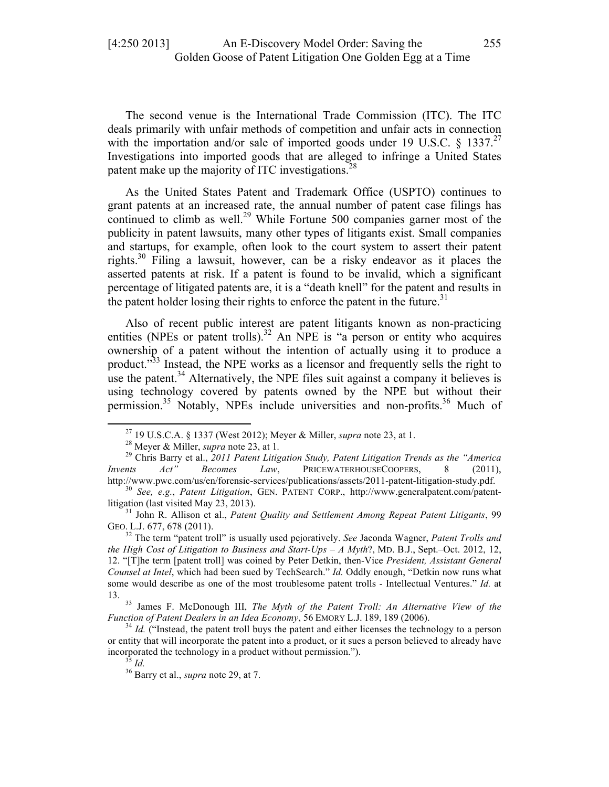The second venue is the International Trade Commission (ITC). The ITC deals primarily with unfair methods of competition and unfair acts in connection with the importation and/or sale of imported goods under 19 U.S.C. § 1337.<sup>27</sup> Investigations into imported goods that are alleged to infringe a United States patent make up the majority of ITC investigations.<sup>28</sup>

As the United States Patent and Trademark Office (USPTO) continues to grant patents at an increased rate, the annual number of patent case filings has continued to climb as well.<sup>29</sup> While Fortune 500 companies garner most of the publicity in patent lawsuits, many other types of litigants exist. Small companies and startups, for example, often look to the court system to assert their patent rights.<sup>30</sup> Filing a lawsuit, however, can be a risky endeavor as it places the asserted patents at risk. If a patent is found to be invalid, which a significant percentage of litigated patents are, it is a "death knell" for the patent and results in the patent holder losing their rights to enforce the patent in the future.<sup>31</sup>

Also of recent public interest are patent litigants known as non-practicing entities (NPEs or patent trolls).<sup>32</sup> An NPE is "a person or entity who acquires ownership of a patent without the intention of actually using it to produce a product."<sup>33</sup> Instead, the NPE works as a licensor and frequently sells the right to use the patent.<sup>34</sup> Alternatively, the NPE files suit against a company it believes is using technology covered by patents owned by the NPE but without their permission.<sup>35</sup> Notably, NPEs include universities and non-profits.<sup>36</sup> Much of

<sup>&</sup>lt;sup>27</sup> 19 U.S.C.A. § 1337 (West 2012); Meyer & Miller, *supra* note 23, at 1.<br><sup>28</sup> Meyer & Miller, *supra* note 23, at 1.<br><sup>29</sup> Chris Barry et al., 2011 Patent Litigation Study, Patent Litigation Trends as the "America" *Invents Act" Becomes Law*, PRICEWATERHOUSECOOPERS, 8 (2011),

http://www.pwc.com/us/en/forensic-services/publications/assets/2011-patent-litigation-study.pdf. <sup>30</sup> *See, e.g.*, *Patent Litigation*, GEN. PATENT CORP., http://www.generalpatent.com/patentlitigation (last visited May 23, 2013). <sup>31</sup> John R. Allison et al., *Patent Quality and Settlement Among Repeat Patent Litigants*, 99

GEO. L.J. 677, 678 (2011). <sup>32</sup> The term "patent troll" is usually used pejoratively. *See* Jaconda Wagner, *Patent Trolls and* 

*the High Cost of Litigation to Business and Start-Ups – A Myth*?, MD. B.J., Sept.–Oct. 2012, 12, 12. "[T]he term [patent troll] was coined by Peter Detkin, then-Vice *President, Assistant General Counsel at Intel*, which had been sued by TechSearch." *Id.* Oddly enough, "Detkin now runs what some would describe as one of the most troublesome patent trolls - Intellectual Ventures." *Id.* at

<sup>13. 33</sup> James F. McDonough III, *The Myth of the Patent Troll: An Alternative View of the Function of Patent Dealers in an Idea Economy*, 56 EMORY L.J. 189, 189 (2006).<br><sup>34</sup> *Id.* ("Instead, the patent troll buys the patent and either licenses the technology to a person

or entity that will incorporate the patent into a product, or it sues a person believed to already have incorporated the technology in a product without permission."). <sup>35</sup> *Id.* <sup>36</sup> Barry et al., *supra* note 29, at 7.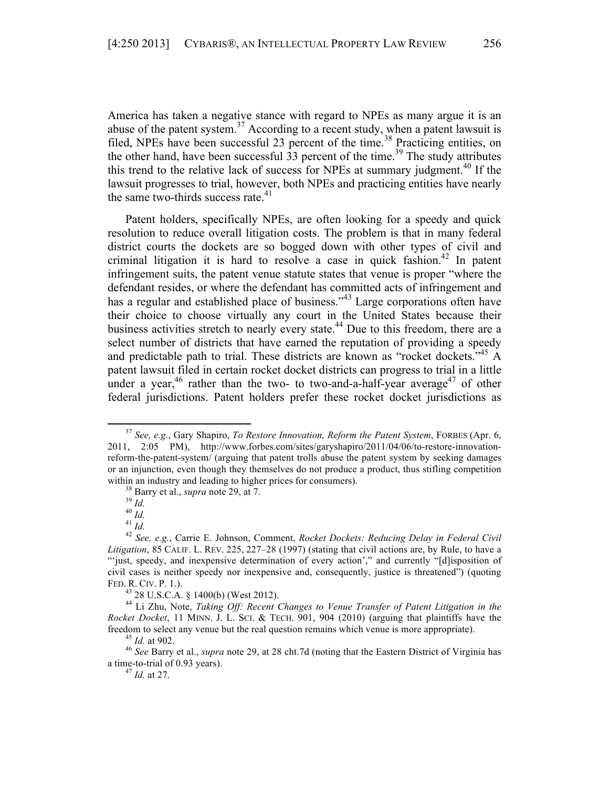America has taken a negative stance with regard to NPEs as many argue it is an abuse of the patent system.<sup>37</sup> According to a recent study, when a patent lawsuit is filed, NPEs have been successful 23 percent of the time. <sup>38</sup> Practicing entities, on the other hand, have been successful  $\overline{33}$  percent of the time.<sup>39</sup> The study attributes this trend to the relative lack of success for NPEs at summary judgment.<sup>40</sup> If the lawsuit progresses to trial, however, both NPEs and practicing entities have nearly the same two-thirds success rate. $41$ 

Patent holders, specifically NPEs, are often looking for a speedy and quick resolution to reduce overall litigation costs. The problem is that in many federal district courts the dockets are so bogged down with other types of civil and criminal litigation it is hard to resolve a case in quick fashion.<sup>42</sup> In patent infringement suits, the patent venue statute states that venue is proper "where the defendant resides, or where the defendant has committed acts of infringement and has a regular and established place of business."<sup>43</sup> Large corporations often have their choice to choose virtually any court in the United States because their business activities stretch to nearly every state.<sup>44</sup> Due to this freedom, there are a select number of districts that have earned the reputation of providing a speedy and predictable path to trial. These districts are known as "rocket dockets."<sup>45</sup> A patent lawsuit filed in certain rocket docket districts can progress to trial in a little under a year,<sup>46</sup> rather than the two- to two-and-a-half-year average<sup>47</sup> of other federal jurisdictions. Patent holders prefer these rocket docket jurisdictions as

<sup>37</sup> *See, e.g.*, Gary Shapiro, *To Restore Innovation, Reform the Patent System*, FORBES (Apr. 6, 2011, 2:05 PM), http://www.forbes.com/sites/garyshapiro/2011/04/06/to-restore-innovationreform-the-patent-system/ (arguing that patent trolls abuse the patent system by seeking damages or an injunction, even though they themselves do not produce a product, thus stifling competition

within an industry and leading to higher prices for consumers).<br>
<sup>38</sup> Barry et al., *supra* note 29, at 7.<br>
<sup>39</sup> Id.<br>
<sup>40</sup> Id.<br>
<sup>41</sup> Id.<br>
<sup>42</sup> See, e.g., Carrie E. Johnson, Comment, *Rocket Dockets: Reducing Delay in Fede Litigation*, 85 CALIF. L. REV. 225, 227–28 (1997) (stating that civil actions are, by Rule, to have a "'just, speedy, and inexpensive determination of every action'," and currently "[d]isposition of civil cases is neither speedy nor inexpensive and, consequently, justice is threatened") (quoting

FED. R. CIV. P. 1.). <sup>43</sup> 28 U.S.C.A. § 1400(b) (West 2012). <sup>44</sup> Li Zhu, Note, *Taking Off: Recent Changes to Venue Transfer of Patent Litigation in the Rocket Docket*, 11 MINN. J. L. SCI. & TECH. 901, 904 (2010) (arguing that plaintiffs have the freedom to select any venue but the real question remains which venue is more appropriate).<br><sup>45</sup> *Id.* at 902.<br><sup>46</sup> *See* Barry et al., *supra* note 29, at 28 cht.7d (noting that the Eastern District of Virginia has

a time-to-trial of 0.93 years). <sup>47</sup> *Id.* at 27.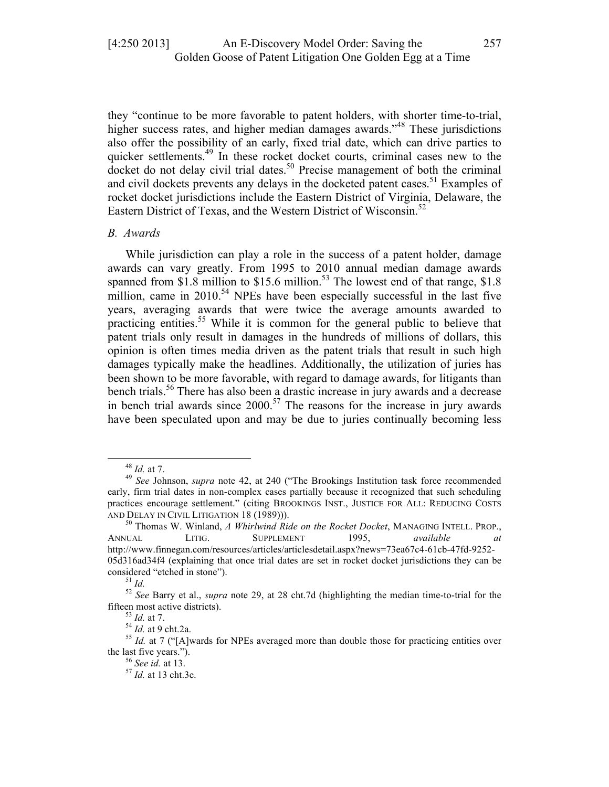they "continue to be more favorable to patent holders, with shorter time-to-trial, higher success rates, and higher median damages awards."<sup>48</sup> These jurisdictions also offer the possibility of an early, fixed trial date, which can drive parties to quicker settlements.<sup>49</sup> In these rocket docket courts, criminal cases new to the  $d$ ocket do not delay civil trial dates.<sup>50</sup> Precise management of both the criminal and civil dockets prevents any delays in the docketed patent cases. <sup>51</sup> Examples of rocket docket jurisdictions include the Eastern District of Virginia, Delaware, the Eastern District of Texas, and the Western District of Wisconsin.<sup>52</sup>

#### *B. Awards*

While jurisdiction can play a role in the success of a patent holder, damage awards can vary greatly. From 1995 to 2010 annual median damage awards spanned from  $\overline{\$1.8\}$  million to  $\$15.6\$  million.<sup>53</sup> The lowest end of that range,  $\$1.8$ million, came in  $2010^{54}$  NPEs have been especially successful in the last five years, averaging awards that were twice the average amounts awarded to practicing entities.<sup>55</sup> While it is common for the general public to believe that patent trials only result in damages in the hundreds of millions of dollars, this opinion is often times media driven as the patent trials that result in such high damages typically make the headlines. Additionally, the utilization of juries has been shown to be more favorable, with regard to damage awards, for litigants than bench trials.<sup>56</sup> There has also been a drastic increase in jury awards and a decrease in bench trial awards since  $2000$ <sup>57</sup>. The reasons for the increase in jury awards have been speculated upon and may be due to juries continually becoming less

<sup>48</sup> *Id.* at 7. <sup>49</sup> *See* Johnson, *supra* note 42, at 240 ("The Brookings Institution task force recommended early, firm trial dates in non-complex cases partially because it recognized that such scheduling practices encourage settlement." (citing BROOKINGS INST., JUSTICE FOR ALL: REDUCING COSTS

AND DELAY IN CIVIL LITIGATION 18 (1989))). <sup>50</sup> Thomas W. Winland, *A Whirlwind Ride on the Rocket Docket*, MANAGING INTELL. PROP., ANNUAL LITIG. SUPPLEMENT 1995, *available at*  http://www.finnegan.com/resources/articles/articlesdetail.aspx?news=73ea67c4-61cb-47fd-9252- 05d316ad34f4 (explaining that once trial dates are set in rocket docket jurisdictions they can be

considered "etched in stone").<br><sup>51</sup> *Id.* <sup>52</sup> *See* Barry et al., *supra* note 29, at 28 cht.7d (highlighting the median time-to-trial for the

fifteen most active districts).<br><sup>53</sup> *Id.* at 7.<br><sup>54</sup> *Id.* at 9 cht.2a.<br><sup>55</sup> *Id.* at 7 ("[A]wards for NPEs averaged more than double those for practicing entities over the last five years."). <sup>56</sup> *See id.* at 13. <sup>57</sup> *Id.* at 13 cht.3e.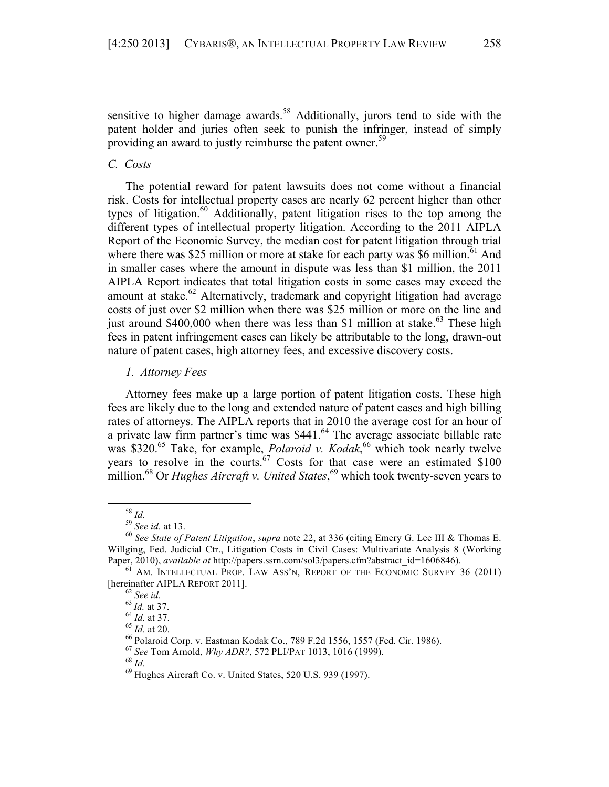sensitive to higher damage awards.<sup>58</sup> Additionally, jurors tend to side with the patent holder and juries often seek to punish the infringer, instead of simply providing an award to justly reimburse the patent owner.<sup>59</sup>

## *C. Costs*

The potential reward for patent lawsuits does not come without a financial risk. Costs for intellectual property cases are nearly 62 percent higher than other types of litigation.<sup>60</sup> Additionally, patent litigation rises to the top among the different types of intellectual property litigation. According to the 2011 AIPLA Report of the Economic Survey, the median cost for patent litigation through trial where there was \$25 million or more at stake for each party was \$6 million.<sup>61</sup> And in smaller cases where the amount in dispute was less than \$1 million, the 2011 AIPLA Report indicates that total litigation costs in some cases may exceed the amount at stake.<sup>62</sup> Alternatively, trademark and copyright litigation had average costs of just over \$2 million when there was \$25 million or more on the line and just around \$400,000 when there was less than \$1 million at stake.<sup>63</sup> These high fees in patent infringement cases can likely be attributable to the long, drawn-out nature of patent cases, high attorney fees, and excessive discovery costs.

#### *1. Attorney Fees*

Attorney fees make up a large portion of patent litigation costs. These high fees are likely due to the long and extended nature of patent cases and high billing rates of attorneys. The AIPLA reports that in 2010 the average cost for an hour of a private law firm partner's time was \$441.<sup>64</sup> The average associate billable rate was \$320.<sup>65</sup> Take, for example, *Polaroid v. Kodak*,<sup>66</sup> which took nearly twelve years to resolve in the courts.<sup>67</sup> Costs for that case were an estimated  $$100$ million. <sup>68</sup> Or *Hughes Aircraft v. United States*, <sup>69</sup> which took twenty-seven years to

<sup>58</sup> *Id.* <sup>59</sup> *See id.* at 13. <sup>60</sup> *See State of Patent Litigation*, *supra* note 22, at 336 (citing Emery G. Lee III & Thomas E. Willging, Fed. Judicial Ctr., Litigation Costs in Civil Cases: Multivariate Analysis 8 (Working

Paper, 2010), *available at* http://papers.ssrn.com/sol3/papers.cfm?abstract\_id=1606846). <sup>61</sup> AM. INTELLECTUAL PROP. LAW ASS'N, REPORT OF THE ECONOMIC SURVEY 36 (2011) [hereinafter AIPLA REPORT 2011].<br>
<sup>62</sup> See id.<br>
<sup>63</sup> Id. at 37.<br>
<sup>64</sup> Id. at 37.<br>
<sup>65</sup> Id. at 20.<br>
<sup>66</sup> Polaroid Corp. v. Eastman Kodak Co., 789 F.2d 1556, 1557 (Fed. Cir. 1986).<br>
<sup>66</sup> Polaroid Corp. v. Eastman Kodak Co.,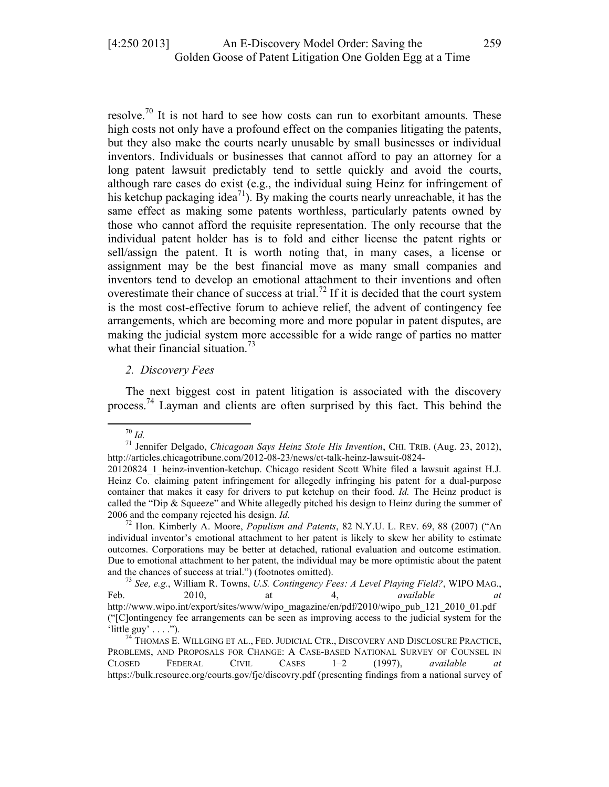resolve.<sup>70</sup> It is not hard to see how costs can run to exorbitant amounts. These high costs not only have a profound effect on the companies litigating the patents, but they also make the courts nearly unusable by small businesses or individual inventors. Individuals or businesses that cannot afford to pay an attorney for a long patent lawsuit predictably tend to settle quickly and avoid the courts, although rare cases do exist (e.g., the individual suing Heinz for infringement of his ketchup packaging idea<sup>71</sup>). By making the courts nearly unreachable, it has the same effect as making some patents worthless, particularly patents owned by those who cannot afford the requisite representation. The only recourse that the individual patent holder has is to fold and either license the patent rights or sell/assign the patent. It is worth noting that, in many cases, a license or assignment may be the best financial move as many small companies and inventors tend to develop an emotional attachment to their inventions and often overestimate their chance of success at trial.<sup>72</sup> If it is decided that the court system is the most cost-effective forum to achieve relief, the advent of contingency fee arrangements, which are becoming more and more popular in patent disputes, are making the judicial system more accessible for a wide range of parties no matter what their financial situation.<sup>73</sup>

#### *2. Discovery Fees*

The next biggest cost in patent litigation is associated with the discovery process.<sup>74</sup> Layman and clients are often surprised by this fact. This behind the

<sup>70</sup> *Id.* <sup>71</sup> Jennifer Delgado, *Chicagoan Says Heinz Stole His Invention*, CHI. TRIB. (Aug. 23, 2012), http://articles.chicagotribune.com/2012-08-23/news/ct-talk-heinz-lawsuit-0824-

<sup>20120824</sup>\_1\_heinz-invention-ketchup. Chicago resident Scott White filed a lawsuit against H.J. Heinz Co. claiming patent infringement for allegedly infringing his patent for a dual-purpose container that makes it easy for drivers to put ketchup on their food. *Id.* The Heinz product is called the "Dip & Squeeze" and White allegedly pitched his design to Heinz during the summer of 2006 and the company rejected his design. *Id.* <sup>72</sup> Hon. Kimberly A. Moore, *Populism and Patents*, 82 N.Y.U. L. REV. 69, <sup>88</sup> (2007) ("An

individual inventor's emotional attachment to her patent is likely to skew her ability to estimate outcomes. Corporations may be better at detached, rational evaluation and outcome estimation. Due to emotional attachment to her patent, the individual may be more optimistic about the patent and the chances of success at trial.") (footnotes omitted). <sup>73</sup> *See, e.g.*, William R. Towns, *U.S. Contingency Fees: A Level Playing Field?*, WIPO MAG.,

Feb. 2010, at 4, *available at* http://www.wipo.int/export/sites/www/wipo\_magazine/en/pdf/2010/wipo\_pub\_121\_2010\_01.pdf ("[C]ontingency fee arrangements can be seen as improving access to the judicial system for the 'little guy' . . . .").<br><sup>74</sup> Thomas E. Willging et al., Fed. Judicial Ctr., Discovery and Disclosure Practice,

PROBLEMS, AND PROPOSALS FOR CHANGE: A CASE-BASED NATIONAL SURVEY OF COUNSEL IN CLOSED FEDERAL CIVIL CASES 1–2 (1997), *available at* https://bulk.resource.org/courts.gov/fjc/discovry.pdf (presenting findings from a national survey of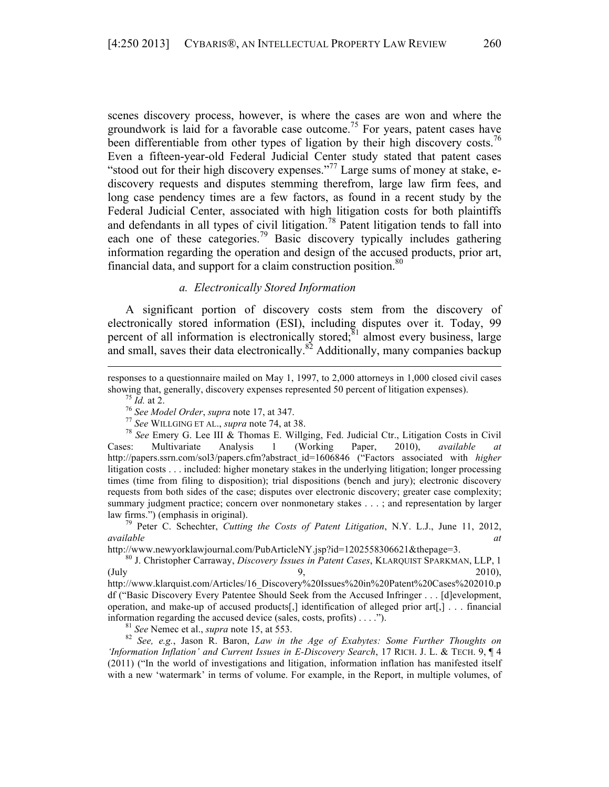scenes discovery process, however, is where the cases are won and where the groundwork is laid for a favorable case outcome.<sup>75</sup> For years, patent cases have been differentiable from other types of ligation by their high discovery costs.<sup>76</sup> Even a fifteen-year-old Federal Judicial Center study stated that patent cases "stood out for their high discovery expenses."<sup>77</sup> Large sums of money at stake, ediscovery requests and disputes stemming therefrom, large law firm fees, and long case pendency times are a few factors, as found in a recent study by the Federal Judicial Center, associated with high litigation costs for both plaintiffs and defendants in all types of civil litigation.<sup>78</sup> Patent litigation tends to fall into each one of these categories.<sup>79</sup> Basic discovery typically includes gathering information regarding the operation and design of the accused products, prior art, financial data, and support for a claim construction position.<sup>80</sup>

#### *a. Electronically Stored Information*

A significant portion of discovery costs stem from the discovery of electronically stored information (ESI), including disputes over it. Today, 99 percent of all information is electronically stored; $\delta$ <sup>1</sup> almost every business, large and small, saves their data electronically.<sup>82</sup> Additionally, many companies backup

showing that, generally, discovery expenses represented 50 percent of litigation expenses).<br>
<sup>75</sup> *Id.* at 2.<br>
<sup>76</sup> *See Model Order, supra* note 17, at 347.<br>
<sup>77</sup> *See WILLGING ET AL., supra* note 74, at 38.<br>
<sup>78</sup> *See E* Cases: Multivariate Analysis 1 (Working Paper, 2010), *available at* http://papers.ssrn.com/sol3/papers.cfm?abstract\_id=1606846 ("Factors associated with *higher* litigation costs . . . included: higher monetary stakes in the underlying litigation; longer processing times (time from filing to disposition); trial dispositions (bench and jury); electronic discovery requests from both sides of the case; disputes over electronic discovery; greater case complexity; summary judgment practice; concern over nonmonetary stakes . . . ; and representation by larger law firms.") (emphasis in original). <sup>79</sup> Peter C. Schechter, *Cutting the Costs of Patent Litigation*, N.Y. L.J., June 11, 2012,

*available* at a *available* and *at* 

http://www.newyorklawjournal.com/PubArticleNY.jsp?id=1202558306621&thepage=3. <sup>80</sup> J. Christopher Carraway, *Discovery Issues in Patent Cases*, KLARQUIST SPARKMAN, LLP, <sup>1</sup>  $9,$  2010),  $9,$  2010), http://www.klarquist.com/Articles/16\_Discovery%20Issues%20in%20Patent%20Cases%202010.p df ("Basic Discovery Every Patentee Should Seek from the Accused Infringer . . . [d]evelopment, operation, and make-up of accused products[,] identification of alleged prior art[,] . . . financial

information regarding the accused device (sales, costs, profits) . . . .").<br><sup>81</sup> See Nemec et al., *supra* note 15, at 553.<br><sup>82</sup> See, e.g., Jason R. Baron, *Law in the Age of Exabytes: Some Further Thoughts on 'Information Inflation' and Current Issues in E-Discovery Search*, 17 RICH. J. L. & TECH. 9, ¶ 4 (2011) ("In the world of investigations and litigation, information inflation has manifested itself with a new 'watermark' in terms of volume. For example, in the Report, in multiple volumes, of

<sup>&</sup>lt;u> 1989 - Andrea Santa Alemania, amerikana amerikana amerikana amerikana amerikana amerikana amerikana amerikana</u> responses to a questionnaire mailed on May 1, 1997, to 2,000 attorneys in 1,000 closed civil cases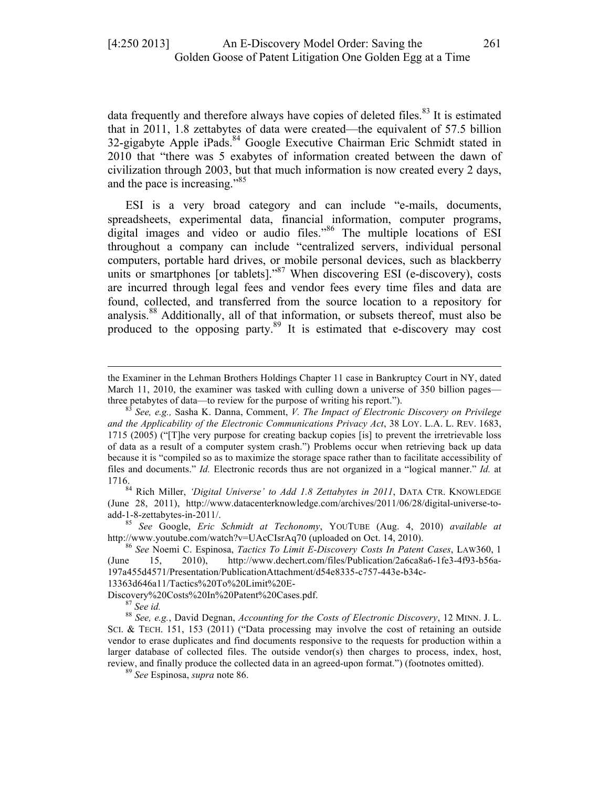data frequently and therefore always have copies of deleted files.<sup>83</sup> It is estimated that in 2011, 1.8 zettabytes of data were created—the equivalent of 57.5 billion 32-gigabyte Apple iPads.<sup>84</sup> Google Executive Chairman Eric Schmidt stated in 2010 that "there was 5 exabytes of information created between the dawn of civilization through 2003, but that much information is now created every 2 days, and the pace is increasing."85

ESI is a very broad category and can include "e-mails, documents, spreadsheets, experimental data, financial information, computer programs, digital images and video or audio files."<sup>86</sup> The multiple locations of ESI throughout a company can include "centralized servers, individual personal computers, portable hard drives, or mobile personal devices, such as blackberry units or smartphones [or tablets]."<sup>87</sup> When discovering ESI (e-discovery), costs are incurred through legal fees and vendor fees every time files and data are found, collected, and transferred from the source location to a repository for analysis.<sup>88</sup> Additionally, all of that information, or subsets thereof, must also be produced to the opposing party.<sup>89</sup> It is estimated that e-discovery may cost

<u> 1989 - Andrea Santa Alemania, amerikana amerikana amerikana amerikana amerikana amerikana amerikana amerikana</u>

(June 28, 2011), http://www.datacenterknowledge.com/archives/2011/06/28/digital-universe-toadd-1-8-zettabytes-in-2011/. <sup>85</sup> *See* Google, *Eric Schmidt at Techonomy*, YOUTUBE (Aug. 4, 2010) *available at*

13363d646a11/Tactics%20To%20Limit%20E-

the Examiner in the Lehman Brothers Holdings Chapter 11 case in Bankruptcy Court in NY, dated March 11, 2010, the examiner was tasked with culling down a universe of 350 billion pages—

three petabytes of data—to review for the purpose of writing his report."). <sup>83</sup> *See, e.g.,* Sasha K. Danna, Comment, *V. The Impact of Electronic Discovery on Privilege and the Applicability of the Electronic Communications Privacy Act*, 38 LOY. L.A. L. REV. 1683, 1715 (2005) ("[T]he very purpose for creating backup copies [is] to prevent the irretrievable loss of data as a result of a computer system crash.") Problems occur when retrieving back up data because it is "compiled so as to maximize the storage space rather than to facilitate accessibility of files and documents." *Id.* Electronic records thus are not organized in a "logical manner." *Id.* at 1716.84 Rich Miller, *'Digital Universe' to Add 1.8 Zettabytes in 2011*, DATA CTR. KNOWLEDGE

http://www.youtube.com/watch?v=UAcCIsrAq70 (uploaded on Oct. 14, 2010). <sup>86</sup> *See* Noemi C. Espinosa, *Tactics To Limit E-Discovery Costs In Patent Cases*, LAW360, <sup>1</sup>

<sup>(</sup>June 15, 2010), http://www.dechert.com/files/Publication/2a6ca8a6-1fe3-4f93-b56a-197a455d4571/Presentation/PublicationAttachment/d54e8335-c757-443e-b34c-

Discovery%20Costs%20In%20Patent%20Cases.pdf.<br><sup>87</sup> *See id.* 88 *See, e.g.*, David Degnan, *Accounting for the Costs of Electronic Discovery*, 12 MINN. J. L. SCI. & TECH. 151, 153 (2011) ("Data processing may involve the cost of retaining an outside vendor to erase duplicates and find documents responsive to the requests for production within a larger database of collected files. The outside vendor(s) then charges to process, index, host, review, and finally produce the collected data in an agreed-upon format.") (footnotes omitted). <sup>89</sup> *See* Espinosa, *supra* note 86.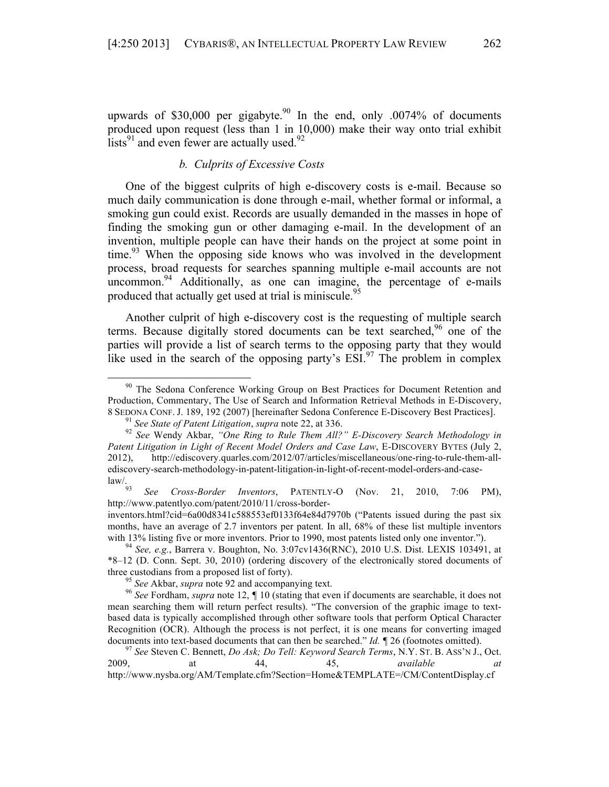upwards of \$30,000 per gigabyte.<sup>90</sup> In the end, only .0074% of documents produced upon request (less than 1 in 10,000) make their way onto trial exhibit lists<sup>91</sup> and even fewer are actually used.<sup>92</sup>

# *b. Culprits of Excessive Costs*

One of the biggest culprits of high e-discovery costs is e-mail. Because so much daily communication is done through e-mail, whether formal or informal, a smoking gun could exist. Records are usually demanded in the masses in hope of finding the smoking gun or other damaging e-mail. In the development of an invention, multiple people can have their hands on the project at some point in time.<sup>93</sup> When the opposing side knows who was involved in the development process, broad requests for searches spanning multiple e-mail accounts are not uncommon. $94$  Additionally, as one can imagine, the percentage of e-mails produced that actually get used at trial is miniscule.<sup>95</sup>

Another culprit of high e-discovery cost is the requesting of multiple search terms. Because digitally stored documents can be text searched,<sup>96</sup> one of the parties will provide a list of search terms to the opposing party that they would like used in the search of the opposing party's  $ESI^{97}$ . The problem in complex

 

See *Cross-Border Inventors*, PATENTLY-O (Nov. 21, 2010, 7:06 PM), http://www.patentlyo.com/patent/2010/11/cross-border-

<sup>&</sup>lt;sup>90</sup> The Sedona Conference Working Group on Best Practices for Document Retention and Production, Commentary, The Use of Search and Information Retrieval Methods in E-Discovery, 8 SEDONA CONF. J. 189, 192 (2007) [hereinafter Sedona Conference E-Discovery Best Practices].<br><sup>91</sup> See State of Patent Litigation, supra note 22, at 336.<br><sup>92</sup> See Wendy Akbar, "One Ring to Rule Them All?" E-Discovery Searc

*Patent Litigation in Light of Recent Model Orders and Case Law*, E-DISCOVERY BYTES (July 2, 2012), http://ediscovery.quarles.com/2012/07/articles/miscellaneous/one-ring-to-rule-them-allediscovery-search-methodology-in-patent-litigation-in-light-of-recent-model-orders-and-case-<br>law/.

inventors.html?cid=6a00d8341c588553ef0133f64e84d7970b ("Patents issued during the past six months, have an average of 2.7 inventors per patent. In all, 68% of these list multiple inventors with 13% listing five or more inventors. Prior to 1990, most patents listed only one inventor."). <sup>94</sup> *See, e.g.*, Barrera v. Boughton, No. 3:07cv1436(RNC), 2010 U.S. Dist. LEXIS 103491, at

<sup>\*8–12 (</sup>D. Conn. Sept. 30, 2010) (ordering discovery of the electronically stored documents of three custodians from a proposed list of forty).<br><sup>95</sup> See Akbar, *supra* note 92 and accompanying text.<br><sup>96</sup> See Fordham, *supra* note 12, ¶ 10 (stating that even if documents are searchable, it does not

mean searching them will return perfect results). "The conversion of the graphic image to textbased data is typically accomplished through other software tools that perform Optical Character Recognition (OCR). Although the process is not perfect, it is one means for converting imaged documents into text-based documents that can then be searched." *Id.* **f** 26 (footnotes omitted).<br><sup>97</sup> *See* Steven C. Bennett, *Do Ask; Do Tell: Keyword Search Terms*, N.Y. ST. B. ASS'N J., Oct.

<sup>2009,</sup> at 44, 45, *available at* http://www.nysba.org/AM/Template.cfm?Section=Home&TEMPLATE=/CM/ContentDisplay.cf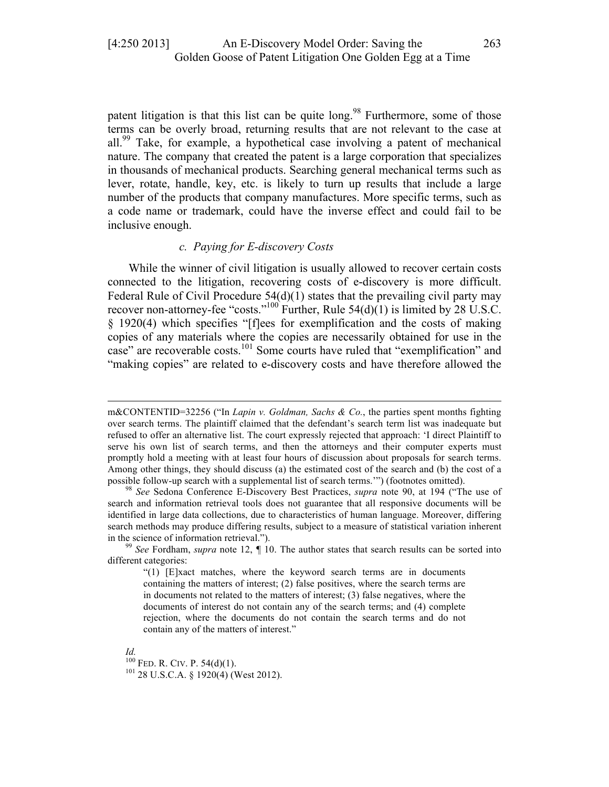patent litigation is that this list can be quite long.<sup>98</sup> Furthermore, some of those terms can be overly broad, returning results that are not relevant to the case at all.99 Take, for example, a hypothetical case involving a patent of mechanical nature. The company that created the patent is a large corporation that specializes in thousands of mechanical products. Searching general mechanical terms such as lever, rotate, handle, key, etc. is likely to turn up results that include a large number of the products that company manufactures. More specific terms, such as a code name or trademark, could have the inverse effect and could fail to be inclusive enough.

#### *c. Paying for E-discovery Costs*

While the winner of civil litigation is usually allowed to recover certain costs connected to the litigation, recovering costs of e-discovery is more difficult. Federal Rule of Civil Procedure  $54(d)(1)$  states that the prevailing civil party may recover non-attorney-fee "costs."<sup>100</sup> Further, Rule  $54(d)(1)$  is limited by 28 U.S.C. § 1920(4) which specifies "[f]ees for exemplification and the costs of making copies of any materials where the copies are necessarily obtained for use in the case" are recoverable costs.<sup>101</sup> Some courts have ruled that "exemplification" and "making copies" are related to e-discovery costs and have therefore allowed the

<u> 1989 - Andrea Santa Alemania, amerikana amerikana amerikana amerikana amerikana amerikana amerikana amerikana</u>

*Id.* PED. R. CIV. P. 54(d)(1).  $101$  28 U.S.C.A. § 1920(4) (West 2012).

m&CONTENTID=32256 ("In *Lapin v. Goldman, Sachs & Co.*, the parties spent months fighting over search terms. The plaintiff claimed that the defendant's search term list was inadequate but refused to offer an alternative list. The court expressly rejected that approach: 'I direct Plaintiff to serve his own list of search terms, and then the attorneys and their computer experts must promptly hold a meeting with at least four hours of discussion about proposals for search terms. Among other things, they should discuss (a) the estimated cost of the search and (b) the cost of a possible follow-up search with a supplemental list of search terms.'") (footnotes omitted). <sup>98</sup> *See* Sedona Conference E-Discovery Best Practices, *supra* note 90, at 194 ("The use of

search and information retrieval tools does not guarantee that all responsive documents will be identified in large data collections, due to characteristics of human language. Moreover, differing search methods may produce differing results, subject to a measure of statistical variation inherent in the science of information retrieval."). <sup>99</sup> *See* Fordham, *supra* note 12, *¶* 10. The author states that search results can be sorted into

different categories:

 $(1)$  [E]xact matches, where the keyword search terms are in documents containing the matters of interest; (2) false positives, where the search terms are in documents not related to the matters of interest; (3) false negatives, where the documents of interest do not contain any of the search terms; and (4) complete rejection, where the documents do not contain the search terms and do not contain any of the matters of interest."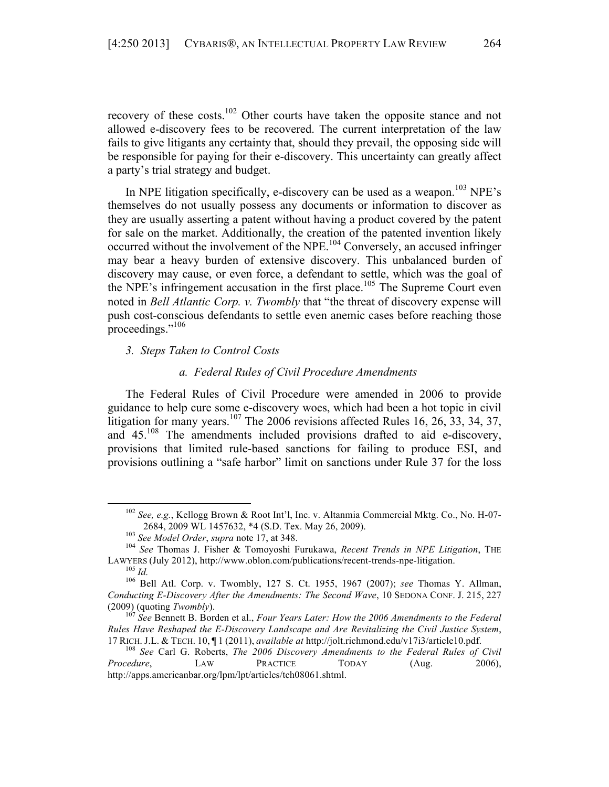recovery of these costs.<sup>102</sup> Other courts have taken the opposite stance and not allowed e-discovery fees to be recovered. The current interpretation of the law fails to give litigants any certainty that, should they prevail, the opposing side will be responsible for paying for their e-discovery. This uncertainty can greatly affect a party's trial strategy and budget.

In NPE litigation specifically, e-discovery can be used as a weapon.<sup>103</sup> NPE's themselves do not usually possess any documents or information to discover as they are usually asserting a patent without having a product covered by the patent for sale on the market. Additionally, the creation of the patented invention likely occurred without the involvement of the NPE.<sup>104</sup> Conversely, an accused infringer may bear a heavy burden of extensive discovery. This unbalanced burden of discovery may cause, or even force, a defendant to settle, which was the goal of the NPE's infringement accusation in the first place.<sup>105</sup> The Supreme Court even noted in *Bell Atlantic Corp. v. Twombly* that "the threat of discovery expense will push cost-conscious defendants to settle even anemic cases before reaching those proceedings."106

*3. Steps Taken to Control Costs*

#### *a. Federal Rules of Civil Procedure Amendments*

The Federal Rules of Civil Procedure were amended in 2006 to provide guidance to help cure some e-discovery woes, which had been a hot topic in civil litigation for many years.<sup>107</sup> The 2006 revisions affected Rules 16, 26, 33, 34, 37, and  $45^{108}$  The amendments included provisions drafted to aid e-discovery, provisions that limited rule-based sanctions for failing to produce ESI, and provisions outlining a "safe harbor" limit on sanctions under Rule 37 for the loss

<sup>102</sup> *See, e.g.*, Kellogg Brown & Root Int'l, Inc. v. Altanmia Commercial Mktg. Co., No. H-07- 2684, 2009 WL 1457632, \*4 (S.D. Tex. May 26, 2009). 103 *See Model Order*, *supra* note 17, at 348. 104 *See* Thomas J. Fisher & Tomoyoshi Furukawa, *Recent Trends in NPE Litigation*, THE

LAWYERS (July 2012), http://www.oblon.com/publications/recent-trends-npe-litigation. <sup>105</sup> *Id.* <sup>106</sup> Bell Atl. Corp. v. Twombly, 127 S. Ct. 1955, 1967 (2007); *see* Thomas Y. Allman,

*Conducting E-Discovery After the Amendments: The Second Wave*, 10 SEDONA CONF. J. 215, 227

<sup>(2009) (</sup>quoting *Twombly*). <sup>107</sup> *See* Bennett B. Borden et al., *Four Years Later: How the 2006 Amendments to the Federal Rules Have Reshaped the E-Discovery Landscape and Are Revitalizing the Civil Justice System*, <sup>17</sup> RICH. J.L. & TECH. 10, ¶ <sup>1</sup> (2011), *available at* http://jolt.richmond.edu/v17i3/article10.pdf. <sup>108</sup> *See* Carl G. Roberts, *The 2006 Discovery Amendments to the Federal Rules of Civil* 

*Procedure*, LAW PRACTICE TODAY (Aug. 2006), http://apps.americanbar.org/lpm/lpt/articles/tch08061.shtml.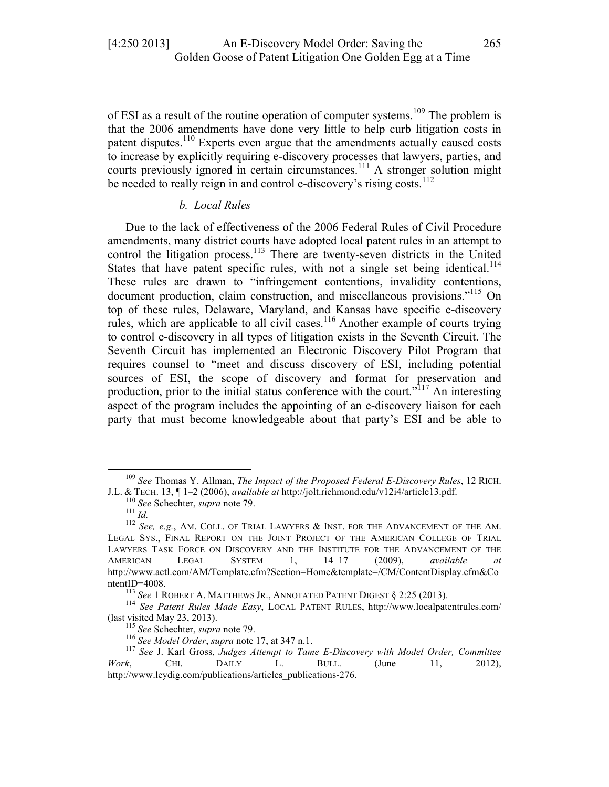of ESI as a result of the routine operation of computer systems.<sup>109</sup> The problem is that the 2006 amendments have done very little to help curb litigation costs in patent disputes.<sup>110</sup> Experts even argue that the amendments actually caused costs to increase by explicitly requiring e-discovery processes that lawyers, parties, and courts previously ignored in certain circumstances.<sup>111</sup> A stronger solution might be needed to really reign in and control e-discovery's rising costs. $^{112}$ 

# *b. Local Rules*

Due to the lack of effectiveness of the 2006 Federal Rules of Civil Procedure amendments, many district courts have adopted local patent rules in an attempt to control the litigation process.<sup>113</sup> There are twenty-seven districts in the United States that have patent specific rules, with not a single set being identical.<sup>114</sup> These rules are drawn to "infringement contentions, invalidity contentions, document production, claim construction, and miscellaneous provisions."<sup>115</sup> On top of these rules, Delaware, Maryland, and Kansas have specific e-discovery rules, which are applicable to all civil cases.<sup>116</sup> Another example of courts trying to control e-discovery in all types of litigation exists in the Seventh Circuit. The Seventh Circuit has implemented an Electronic Discovery Pilot Program that requires counsel to "meet and discuss discovery of ESI, including potential sources of ESI, the scope of discovery and format for preservation and production, prior to the initial status conference with the court."<sup>117</sup> An interesting aspect of the program includes the appointing of an e-discovery liaison for each party that must become knowledgeable about that party's ESI and be able to

<sup>&</sup>lt;sup>109</sup> *See Thomas Y. Allman, The Impact of the Proposed Federal E-Discovery Rules*, 12 RICH.<br>J.L. & TECH. 13, ¶ 1–2 (2006), *available at http://jolt.richmond.edu/v12i4/article13.pdf.* 

<sup>&</sup>lt;sup>110</sup> See Schechter, *supra* note 79.<br><sup>111</sup> Id.<br><sup>112</sup> See, e.g., AM. COLL. OF TRIAL LAWYERS & INST. FOR THE ADVANCEMENT OF THE AM. LEGAL SYS., FINAL REPORT ON THE JOINT PROJECT OF THE AMERICAN COLLEGE OF TRIAL LAWYERS TASK FORCE ON DISCOVERY AND THE INSTITUTE FOR THE ADVANCEMENT OF THE AMERICAN LEGAL SYSTEM 1, 14–17 (2009), *available at* http://www.actl.com/AM/Template.cfm?Section=Home&template=/CM/ContentDisplay.cfm&Co

ntentID=4008.<br><sup>113</sup> *See* 1 ROBERT A. MATTHEWS JR., ANNOTATED PATENT DIGEST § 2:25 (2013).<br><sup>114</sup> *See Patent Rules Made Easy*, LOCAL PATENT RULES, http://www.localpatentrules.com/<br><sup>115</sup> *See* Schechter, *supra* note 79.

<sup>&</sup>lt;sup>116</sup> See Model Order, supra note 17, at 347 n.1.<br><sup>117</sup> See J. Karl Gross, Judges Attempt to Tame E-Discovery with Model Order, Committee *Work*, CHI. DAILY L. BULL. (June 11, 2012), http://www.leydig.com/publications/articles\_publications-276.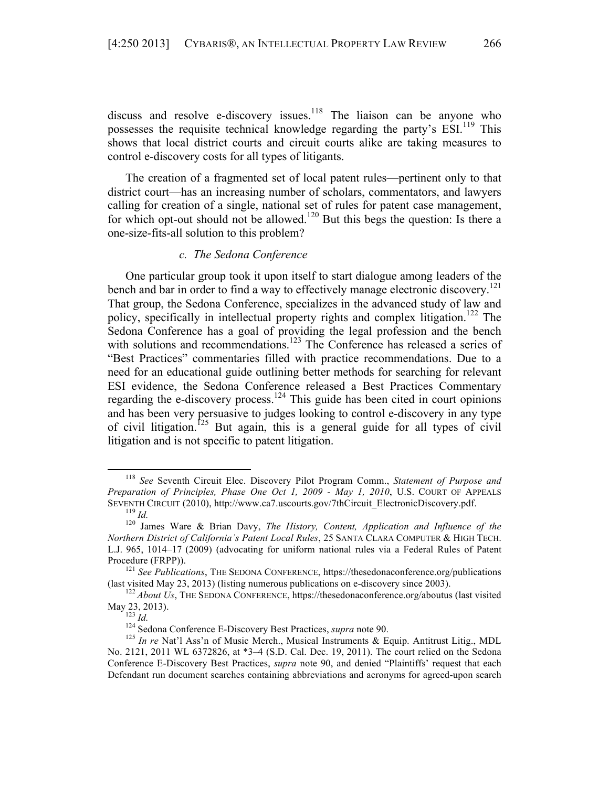discuss and resolve e-discovery issues.<sup>118</sup> The liaison can be anyone who possesses the requisite technical knowledge regarding the party's ESI.<sup>119</sup> This shows that local district courts and circuit courts alike are taking measures to control e-discovery costs for all types of litigants.

The creation of a fragmented set of local patent rules—pertinent only to that district court—has an increasing number of scholars, commentators, and lawyers calling for creation of a single, national set of rules for patent case management, for which opt-out should not be allowed.<sup>120</sup> But this begs the question: Is there a one-size-fits-all solution to this problem?

#### *c. The Sedona Conference*

One particular group took it upon itself to start dialogue among leaders of the bench and bar in order to find a way to effectively manage electronic discovery.<sup>121</sup> That group, the Sedona Conference, specializes in the advanced study of law and policy, specifically in intellectual property rights and complex litigation.<sup>122</sup> The Sedona Conference has a goal of providing the legal profession and the bench with solutions and recommendations.<sup>123</sup> The Conference has released a series of "Best Practices" commentaries filled with practice recommendations. Due to a need for an educational guide outlining better methods for searching for relevant ESI evidence, the Sedona Conference released a Best Practices Commentary regarding the e-discovery process.<sup>124</sup> This guide has been cited in court opinions and has been very persuasive to judges looking to control e-discovery in any type of civil litigation.<sup>125</sup> But again, this is a general guide for all types of civil litigation and is not specific to patent litigation.

<sup>118</sup> *See* Seventh Circuit Elec. Discovery Pilot Program Comm., *Statement of Purpose and Preparation of Principles, Phase One Oct 1, 2009 - May 1, 2010*, U.S. COURT OF APPEALS SEVENTH CIRCUIT (2010), http://www.ca7.uscourts.gov/7thCircuit\_ElectronicDiscovery.pdf.<br><sup>119</sup> *Id.* <sup>120</sup> James Ware & Brian Davy, *The History, Content, Application and Influence of the* 

*Northern District of California's Patent Local Rules*, 25 SANTA CLARA COMPUTER & HIGH TECH. L.J. 965, 1014–17 (2009) (advocating for uniform national rules via a Federal Rules of Patent Procedure (FRPP)).<br><sup>121</sup> *See Publications*, THE SEDONA CONFERENCE, https://thesedonaconference.org/publications

<sup>(</sup>last visited May 23, 2013) (listing numerous publications on e-discovery since 2003).<br><sup>122</sup> *About Us*, THE SEDONA CONFERENCE, https://thesedonaconference.org/aboutus (last visited May 23, 2013).<br><sup>123</sup> *Id.* 

na.<br><sup>124</sup> Sedona Conference E-Discovery Best Practices, *supra* note 90.<br><sup>125</sup> *In re* Nat'l Ass'n of Music Merch., Musical Instruments & Equip. Antitrust Litig., MDL No. 2121, 2011 WL 6372826, at \*3–4 (S.D. Cal. Dec. 19, 2011). The court relied on the Sedona Conference E-Discovery Best Practices, *supra* note 90, and denied "Plaintiffs' request that each Defendant run document searches containing abbreviations and acronyms for agreed-upon search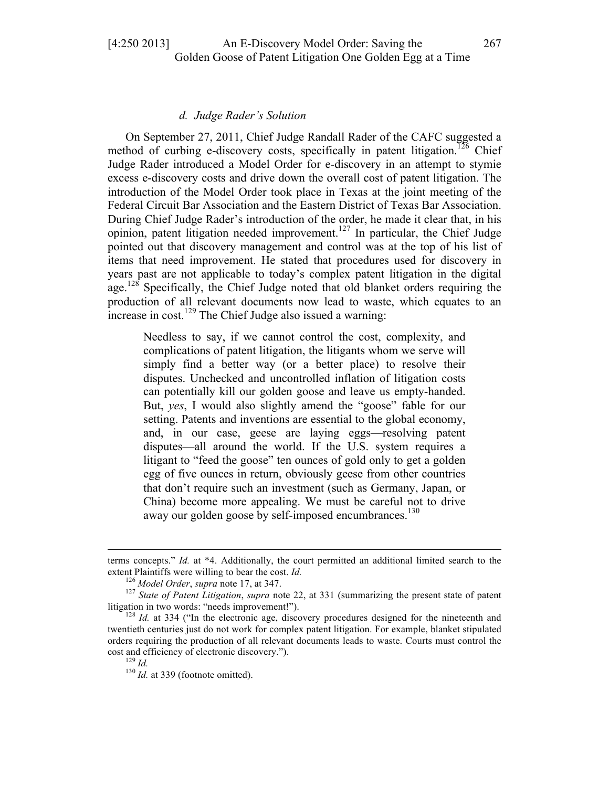# *d. Judge Rader's Solution*

On September 27, 2011, Chief Judge Randall Rader of the CAFC suggested a method of curbing e-discovery costs, specifically in patent litigation.<sup>126</sup> Chief Judge Rader introduced a Model Order for e-discovery in an attempt to stymie excess e-discovery costs and drive down the overall cost of patent litigation. The introduction of the Model Order took place in Texas at the joint meeting of the Federal Circuit Bar Association and the Eastern District of Texas Bar Association. During Chief Judge Rader's introduction of the order, he made it clear that, in his opinion, patent litigation needed improvement.<sup>127</sup> In particular, the Chief Judge pointed out that discovery management and control was at the top of his list of items that need improvement. He stated that procedures used for discovery in years past are not applicable to today's complex patent litigation in the digital age.<sup>128</sup> Specifically, the Chief Judge noted that old blanket orders requiring the production of all relevant documents now lead to waste, which equates to an increase in  $cost^{129}$  The Chief Judge also issued a warning:

Needless to say, if we cannot control the cost, complexity, and complications of patent litigation, the litigants whom we serve will simply find a better way (or a better place) to resolve their disputes. Unchecked and uncontrolled inflation of litigation costs can potentially kill our golden goose and leave us empty-handed. But, *yes*, I would also slightly amend the "goose" fable for our setting. Patents and inventions are essential to the global economy, and, in our case, geese are laying eggs—resolving patent disputes—all around the world. If the U.S. system requires a litigant to "feed the goose" ten ounces of gold only to get a golden egg of five ounces in return, obviously geese from other countries that don't require such an investment (such as Germany, Japan, or China) become more appealing. We must be careful not to drive away our golden goose by self-imposed encumbrances.<sup>130</sup>

<sup>&</sup>lt;u> 1989 - Andrea Santa Alemania, amerikana amerikana amerikana amerikana amerikana amerikana amerikana amerikana</u> terms concepts." *Id.* at \*4. Additionally, the court permitted an additional limited search to the extent Plaintiffs were willing to bear the cost. *Id.*<br><sup>126</sup> *Model Order*, *supra* note 17, at 347.<br><sup>127</sup> *State of Patent Litigation*, *supra* note 22, at 331 (summarizing the present state of patent

litigation in two words: "needs improvement!").<br><sup>128</sup> *Id.* at 334 ("In the electronic age, discovery procedures designed for the nineteenth and

twentieth centuries just do not work for complex patent litigation. For example, blanket stipulated orders requiring the production of all relevant documents leads to waste. Courts must control the cost and efficiency of electronic discovery."). <sup>129</sup> *Id.* <sup>130</sup> *Id.* at 339 (footnote omitted).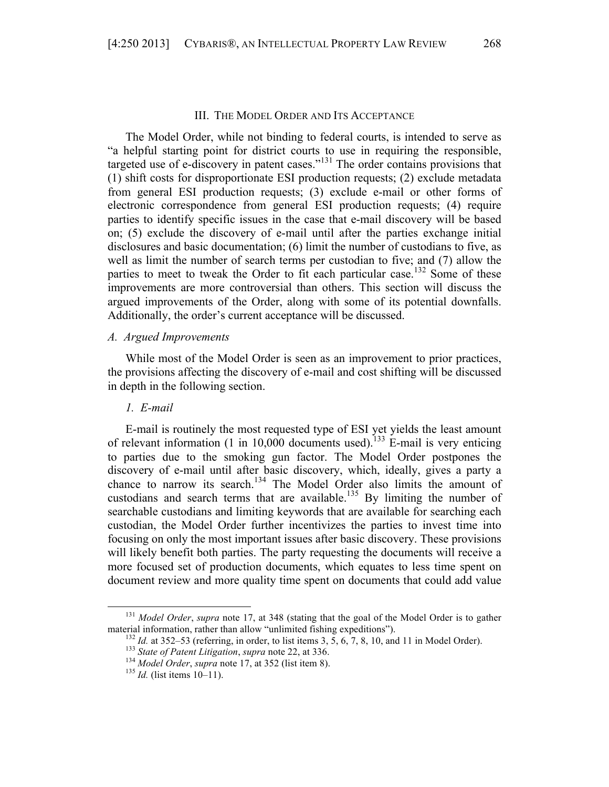#### III. THE MODEL ORDER AND ITS ACCEPTANCE

The Model Order, while not binding to federal courts, is intended to serve as "a helpful starting point for district courts to use in requiring the responsible, targeted use of e-discovery in patent cases."<sup>131</sup> The order contains provisions that (1) shift costs for disproportionate ESI production requests; (2) exclude metadata from general ESI production requests; (3) exclude e-mail or other forms of electronic correspondence from general ESI production requests; (4) require parties to identify specific issues in the case that e-mail discovery will be based on; (5) exclude the discovery of e-mail until after the parties exchange initial disclosures and basic documentation; (6) limit the number of custodians to five, as well as limit the number of search terms per custodian to five; and (7) allow the parties to meet to tweak the Order to fit each particular case.<sup>132</sup> Some of these improvements are more controversial than others. This section will discuss the argued improvements of the Order, along with some of its potential downfalls. Additionally, the order's current acceptance will be discussed.

#### *A. Argued Improvements*

While most of the Model Order is seen as an improvement to prior practices, the provisions affecting the discovery of e-mail and cost shifting will be discussed in depth in the following section.

## *1. E-mail*

E-mail is routinely the most requested type of ESI yet yields the least amount of relevant information (1 in 10,000 documents used).<sup>133</sup> E-mail is very enticing to parties due to the smoking gun factor. The Model Order postpones the discovery of e-mail until after basic discovery, which, ideally, gives a party a chance to narrow its search.<sup>134</sup> The Model Order also limits the amount of custodians and search terms that are available.<sup>135</sup> By limiting the number of searchable custodians and limiting keywords that are available for searching each custodian, the Model Order further incentivizes the parties to invest time into focusing on only the most important issues after basic discovery. These provisions will likely benefit both parties. The party requesting the documents will receive a more focused set of production documents, which equates to less time spent on document review and more quality time spent on documents that could add value

<sup>131</sup> *Model Order*, *supra* note 17, at 348 (stating that the goal of the Model Order is to gather material information, rather than allow "unlimited fishing expeditions").<br>
<sup>132</sup> *Id.* at 352–53 (referring, in order, to list items 3, 5, 6, 7, 8, 10, and 11 in Model Order).<br>
<sup>133</sup> *State of Patent Litigation, supra* no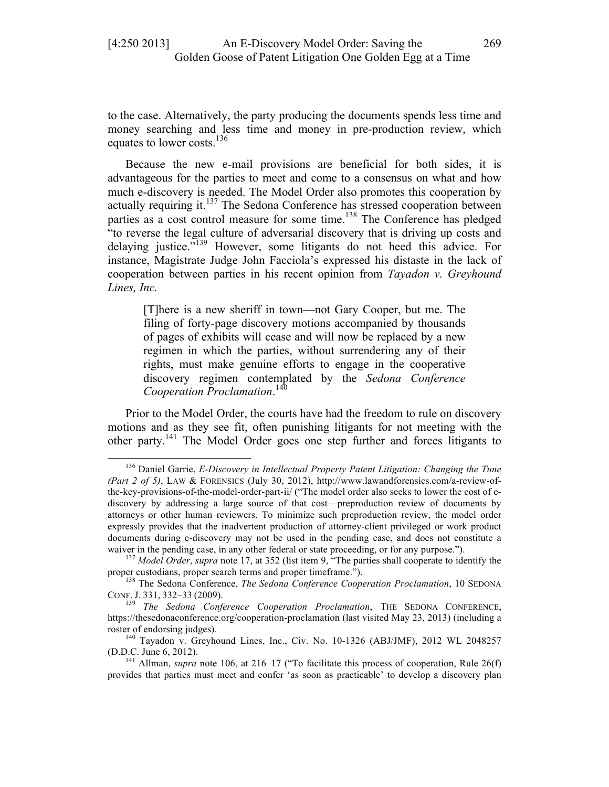to the case. Alternatively, the party producing the documents spends less time and money searching and less time and money in pre-production review, which equates to lower costs.<sup>136</sup>

Because the new e-mail provisions are beneficial for both sides, it is advantageous for the parties to meet and come to a consensus on what and how much e-discovery is needed. The Model Order also promotes this cooperation by actually requiring it.<sup>137</sup> The Sedona Conference has stressed cooperation between parties as a cost control measure for some time.<sup>138</sup> The Conference has pledged "to reverse the legal culture of adversarial discovery that is driving up costs and delaying justice."139 However, some litigants do not heed this advice. For instance, Magistrate Judge John Facciola's expressed his distaste in the lack of cooperation between parties in his recent opinion from *Tayadon v. Greyhound Lines, Inc.*

[T]here is a new sheriff in town—not Gary Cooper, but me. The filing of forty-page discovery motions accompanied by thousands of pages of exhibits will cease and will now be replaced by a new regimen in which the parties, without surrendering any of their rights, must make genuine efforts to engage in the cooperative discovery regimen contemplated by the *Sedona Conference Cooperation Proclamation*. 140

Prior to the Model Order, the courts have had the freedom to rule on discovery motions and as they see fit, often punishing litigants for not meeting with the other party.141 The Model Order goes one step further and forces litigants to

<sup>136</sup> Daniel Garrie, *E-Discovery in Intellectual Property Patent Litigation: Changing the Tune (Part 2 of 5)*, LAW & FORENSICS (July 30, 2012), http://www.lawandforensics.com/a-review-ofthe-key-provisions-of-the-model-order-part-ii/ ("The model order also seeks to lower the cost of ediscovery by addressing a large source of that cost—preproduction review of documents by attorneys or other human reviewers. To minimize such preproduction review, the model order expressly provides that the inadvertent production of attorney-client privileged or work product documents during e-discovery may not be used in the pending case, and does not constitute a waiver in the pending case, in any other federal or state proceeding, or for any purpose.").<br><sup>137</sup> *Model Order*, *supra* note 17, at 352 (list item 9, "The parties shall cooperate to identify the

proper custodians, proper search terms and proper timeframe.").<br><sup>138</sup> The Sedona Conference, *The Sedona Conference Cooperation Proclamation*, 10 SEDONA

CONF. J. 331, 332–33 (2009). <sup>139</sup> *The Sedona Conference Cooperation Proclamation*, THE SEDONA CONFERENCE,

https://thesedonaconference.org/cooperation-proclamation (last visited May 23, 2013) (including a roster of endorsing judges).<br><sup>140</sup> Tayadon v. Greyhound Lines, Inc., Civ. No. 10-1326 (ABJ/JMF), 2012 WL 2048257

<sup>(</sup>D.D.C. June 6, 2012). <sup>141</sup> Allman, *supra* note 106, at 216–17 ("To facilitate this process of cooperation, Rule 26(f)

provides that parties must meet and confer 'as soon as practicable' to develop a discovery plan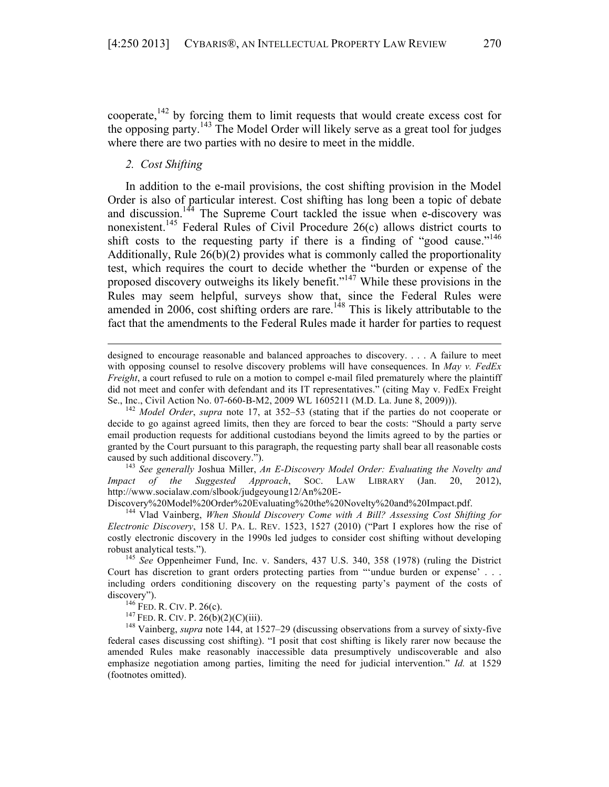cooperate,<sup>142</sup> by forcing them to limit requests that would create excess cost for the opposing party. <sup>143</sup> The Model Order will likely serve as a great tool for judges where there are two parties with no desire to meet in the middle.

## *2. Cost Shifting*

In addition to the e-mail provisions, the cost shifting provision in the Model Order is also of particular interest. Cost shifting has long been a topic of debate and discussion.<sup>144</sup> The Supreme Court tackled the issue when e-discovery was nonexistent.145 Federal Rules of Civil Procedure 26(c) allows district courts to shift costs to the requesting party if there is a finding of "good cause."<sup>146</sup> Additionally, Rule 26(b)(2) provides what is commonly called the proportionality test, which requires the court to decide whether the "burden or expense of the proposed discovery outweighs its likely benefit."<sup>147</sup> While these provisions in the Rules may seem helpful, surveys show that, since the Federal Rules were amended in 2006, cost shifting orders are rare.<sup>148</sup> This is likely attributable to the fact that the amendments to the Federal Rules made it harder for parties to request

designed to encourage reasonable and balanced approaches to discovery. . . . A failure to meet with opposing counsel to resolve discovery problems will have consequences. In *May v. FedEx Freight*, a court refused to rule on a motion to compel e-mail filed prematurely where the plaintiff did not meet and confer with defendant and its IT representatives." (citing May v. FedEx Freight Se., Inc., Civil Action No. 07-660-B-M2, 2009 WL 1605211 (M.D. La. June 8, 2009))). <sup>142</sup> *Model Order*, *supra* note 17, at 352–53 (stating that if the parties do not cooperate or

<u> 1989 - Andrea Santa Alemania, amerikana amerikana amerikana amerikana amerikana amerikana amerikana amerikana</u>

decide to go against agreed limits, then they are forced to bear the costs: "Should a party serve email production requests for additional custodians beyond the limits agreed to by the parties or granted by the Court pursuant to this paragraph, the requesting party shall bear all reasonable costs caused by such additional discovery."). <sup>143</sup> *See generally* Joshua Miller, *An E-Discovery Model Order: Evaluating the Novelty and* 

*Impact of the Suggested Approach*, SOC. LAW LIBRARY (Jan. 20, 2012), http://www.socialaw.com/slbook/judgeyoung12/An%20E-<br>Discovery%20Model%20Order%20Evaluating%20the%20Novelty%20and%20Impact.pdf.

<sup>144</sup> Vlad Vainberg, *When Should Discovery Come with A Bill? Assessing Cost Shifting for Electronic Discovery*, 158 U. PA. L. REV. 1523, 1527 (2010) ("Part I explores how the rise of costly electronic discovery in the 1990s led judges to consider cost shifting without developing robust analytical tests."). <sup>145</sup> *See* Oppenheimer Fund, Inc. v. Sanders, 437 U.S. 340, 358 (1978) (ruling the District

Court has discretion to grant orders protecting parties from "'undue burden or expense' . . . including orders conditioning discovery on the requesting party's payment of the costs of

discovery").<br><sup>146</sup> FED. R. CIV. P. 26(c).<br><sup>147</sup> FED. R. CIV. P. 26(b)(2)(C)(iii).<br><sup>148</sup> Vainberg, *supra* note 144, at 1527–29 (discussing observations from a survey of sixty-five federal cases discussing cost shifting). "I posit that cost shifting is likely rarer now because the amended Rules make reasonably inaccessible data presumptively undiscoverable and also emphasize negotiation among parties, limiting the need for judicial intervention." *Id.* at 1529 (footnotes omitted).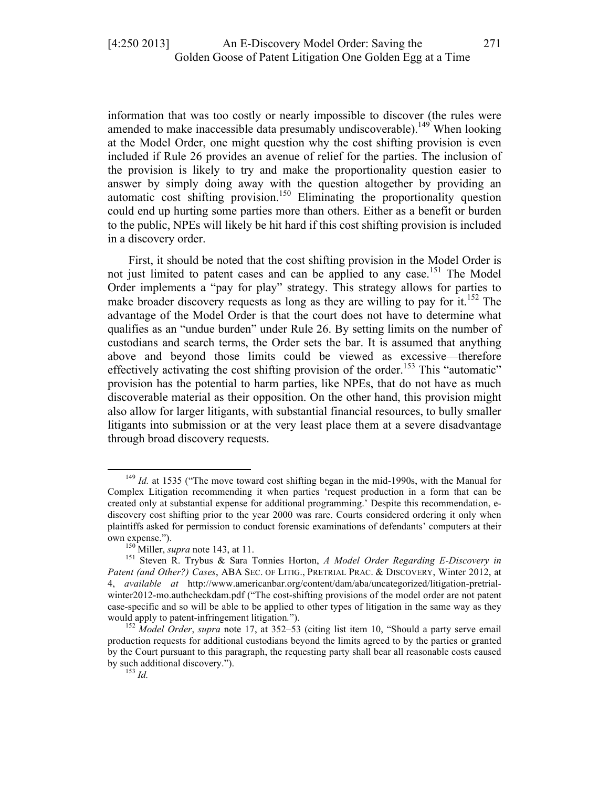information that was too costly or nearly impossible to discover (the rules were amended to make inaccessible data presumably undiscoverable).<sup>149</sup> When looking at the Model Order, one might question why the cost shifting provision is even included if Rule 26 provides an avenue of relief for the parties. The inclusion of the provision is likely to try and make the proportionality question easier to answer by simply doing away with the question altogether by providing an automatic cost shifting provision.<sup>150</sup> Eliminating the proportionality question could end up hurting some parties more than others. Either as a benefit or burden to the public, NPEs will likely be hit hard if this cost shifting provision is included in a discovery order.

First, it should be noted that the cost shifting provision in the Model Order is not just limited to patent cases and can be applied to any case.<sup>151</sup> The Model Order implements a "pay for play" strategy. This strategy allows for parties to make broader discovery requests as long as they are willing to pay for it.<sup>152</sup> The advantage of the Model Order is that the court does not have to determine what qualifies as an "undue burden" under Rule 26. By setting limits on the number of custodians and search terms, the Order sets the bar. It is assumed that anything above and beyond those limits could be viewed as excessive—therefore effectively activating the cost shifting provision of the order.<sup>153</sup> This "automatic" provision has the potential to harm parties, like NPEs, that do not have as much discoverable material as their opposition. On the other hand, this provision might also allow for larger litigants, with substantial financial resources, to bully smaller litigants into submission or at the very least place them at a severe disadvantage through broad discovery requests.

<sup>&</sup>lt;sup>149</sup> *Id.* at 1535 ("The move toward cost shifting began in the mid-1990s, with the Manual for Complex Litigation recommending it when parties 'request production in a form that can be created only at substantial expense for additional programming.' Despite this recommendation, ediscovery cost shifting prior to the year 2000 was rare. Courts considered ordering it only when plaintiffs asked for permission to conduct forensic examinations of defendants' computers at their

own expense.").<br><sup>150</sup> Miller, *supra* note 143, at 11.<br><sup>151</sup> Steven R. Trybus & Sara Tonnies Horton, *A Model Order Regarding E-Discovery in Patent (and Other?) Cases*, ABA SEC. OF LITIG., PRETRIAL PRAC. & DISCOVERY, Winter 2012, at 4, *available at* http://www.americanbar.org/content/dam/aba/uncategorized/litigation-pretrialwinter2012-mo.authcheckdam.pdf ("The cost-shifting provisions of the model order are not patent case-specific and so will be able to be applied to other types of litigation in the same way as they would apply to patent-infringement litigation*.*"). <sup>152</sup> *Model Order*, *supra* note 17, at 352–53 (citing list item 10, "Should a party serve email

production requests for additional custodians beyond the limits agreed to by the parties or granted by the Court pursuant to this paragraph, the requesting party shall bear all reasonable costs caused by such additional discovery."). <sup>153</sup> *Id.*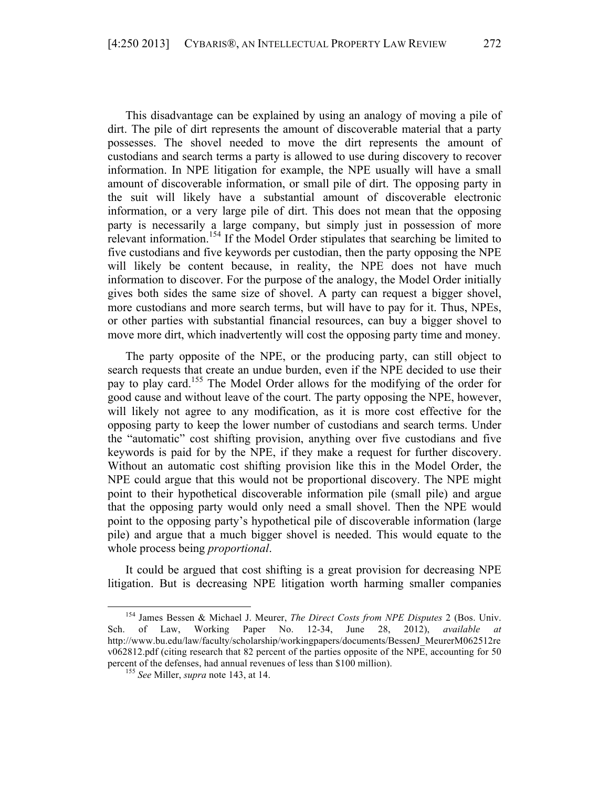This disadvantage can be explained by using an analogy of moving a pile of dirt. The pile of dirt represents the amount of discoverable material that a party possesses. The shovel needed to move the dirt represents the amount of custodians and search terms a party is allowed to use during discovery to recover information. In NPE litigation for example, the NPE usually will have a small amount of discoverable information, or small pile of dirt. The opposing party in the suit will likely have a substantial amount of discoverable electronic information, or a very large pile of dirt. This does not mean that the opposing party is necessarily a large company, but simply just in possession of more relevant information.<sup>154</sup> If the Model Order stipulates that searching be limited to five custodians and five keywords per custodian, then the party opposing the NPE will likely be content because, in reality, the NPE does not have much information to discover. For the purpose of the analogy, the Model Order initially gives both sides the same size of shovel. A party can request a bigger shovel, more custodians and more search terms, but will have to pay for it. Thus, NPEs, or other parties with substantial financial resources, can buy a bigger shovel to move more dirt, which inadvertently will cost the opposing party time and money.

The party opposite of the NPE, or the producing party, can still object to search requests that create an undue burden, even if the NPE decided to use their pay to play card.155 The Model Order allows for the modifying of the order for good cause and without leave of the court. The party opposing the NPE, however, will likely not agree to any modification, as it is more cost effective for the opposing party to keep the lower number of custodians and search terms. Under the "automatic" cost shifting provision, anything over five custodians and five keywords is paid for by the NPE, if they make a request for further discovery. Without an automatic cost shifting provision like this in the Model Order, the NPE could argue that this would not be proportional discovery. The NPE might point to their hypothetical discoverable information pile (small pile) and argue that the opposing party would only need a small shovel. Then the NPE would point to the opposing party's hypothetical pile of discoverable information (large pile) and argue that a much bigger shovel is needed. This would equate to the whole process being *proportional*.

It could be argued that cost shifting is a great provision for decreasing NPE litigation. But is decreasing NPE litigation worth harming smaller companies

<sup>154</sup> James Bessen & Michael J. Meurer, *The Direct Costs from NPE Disputes* 2 (Bos. Univ. Sch. of Law, Working Paper No. 12-34, June 28, 2012), *available at*  http://www.bu.edu/law/faculty/scholarship/workingpapers/documents/BessenJ\_MeurerM062512re v062812.pdf (citing research that 82 percent of the parties opposite of the NPE, accounting for 50 percent of the defenses, had annual revenues of less than \$100 million). <sup>155</sup> *See* Miller, *supra* note 143, at 14.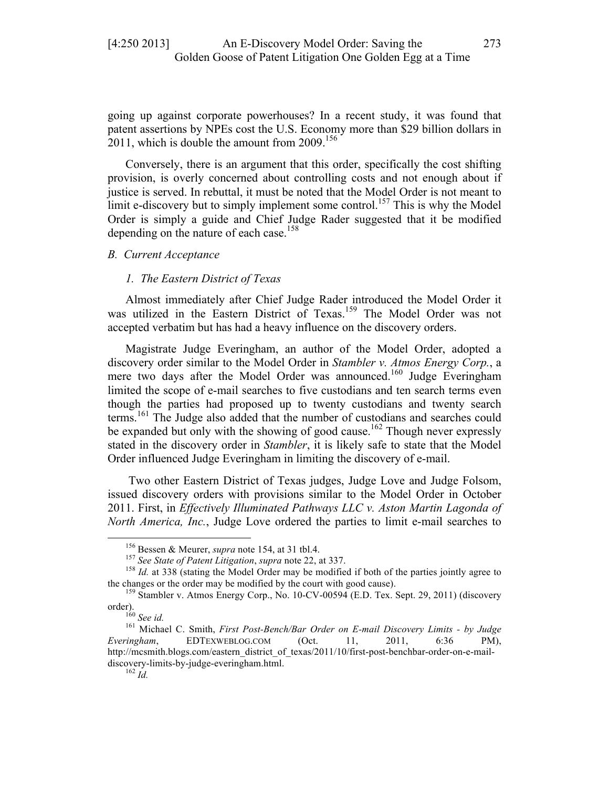going up against corporate powerhouses? In a recent study, it was found that patent assertions by NPEs cost the U.S. Economy more than \$29 billion dollars in 2011, which is double the amount from 2009.<sup>156</sup>

Conversely, there is an argument that this order, specifically the cost shifting provision, is overly concerned about controlling costs and not enough about if justice is served. In rebuttal, it must be noted that the Model Order is not meant to limit e-discovery but to simply implement some control.<sup>157</sup> This is why the Model Order is simply a guide and Chief Judge Rader suggested that it be modified depending on the nature of each case.<sup>158</sup>

#### *B. Current Acceptance*

## *1. The Eastern District of Texas*

Almost immediately after Chief Judge Rader introduced the Model Order it was utilized in the Eastern District of Texas.<sup>159</sup> The Model Order was not accepted verbatim but has had a heavy influence on the discovery orders.

Magistrate Judge Everingham, an author of the Model Order, adopted a discovery order similar to the Model Order in *Stambler v. Atmos Energy Corp.*, a mere two days after the Model Order was announced.<sup>160</sup> Judge Everingham limited the scope of e-mail searches to five custodians and ten search terms even though the parties had proposed up to twenty custodians and twenty search terms.<sup>161</sup> The Judge also added that the number of custodians and searches could be expanded but only with the showing of good cause.<sup>162</sup> Though never expressly stated in the discovery order in *Stambler*, it is likely safe to state that the Model Order influenced Judge Everingham in limiting the discovery of e-mail.

Two other Eastern District of Texas judges, Judge Love and Judge Folsom, issued discovery orders with provisions similar to the Model Order in October 2011. First, in *Effectively Illuminated Pathways LLC v. Aston Martin Lagonda of North America, Inc.*, Judge Love ordered the parties to limit e-mail searches to

<sup>&</sup>lt;sup>156</sup> Bessen & Meurer, *supra* note 154, at 31 tbl.4.

<sup>&</sup>lt;sup>157</sup> See State of Patent Litigation, supra note 22, at 337.<br><sup>158</sup> Id. at 338 (stating the Model Order may be modified if both of the parties jointly agree to

the changes or the order may be modified by the court with good cause).<br>
<sup>159</sup> Stambler v. Atmos Energy Corp., No. 10-CV-00594 (E.D. Tex. Sept. 29, 2011) (discovery order).<br>
order).<br> **199** Stambles v. Atmos Energy Corp.,

order). <sup>160</sup> *See id.* <sup>161</sup> Michael C. Smith, *First Post-Bench/Bar Order on E-mail Discovery Limits - by Judge Everingham*, EDTEXWEBLOG.COM (Oct. 11, 2011, 6:36 PM), http://mcsmith.blogs.com/eastern\_district\_of\_texas/2011/10/first-post-benchbar-order-on-e-maildiscovery-limits-by-judge-everingham.html. <sup>162</sup> *Id.*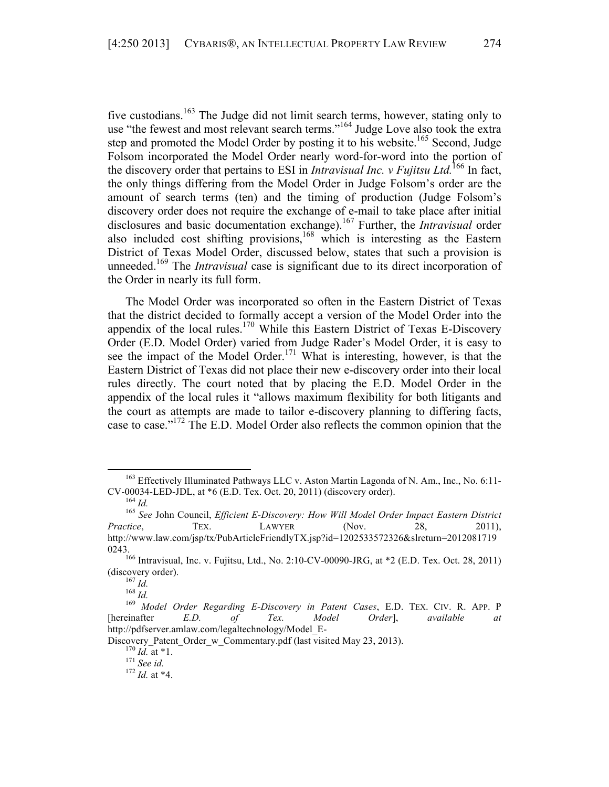five custodians.<sup>163</sup> The Judge did not limit search terms, however, stating only to use "the fewest and most relevant search terms."<sup>164</sup> Judge Love also took the extra step and promoted the Model Order by posting it to his website.<sup>165</sup> Second, Judge Folsom incorporated the Model Order nearly word-for-word into the portion of the discovery order that pertains to ESI in *Intravisual Inc.* v Fujitsu Ltd.<sup>166</sup> In fact, the only things differing from the Model Order in Judge Folsom's order are the amount of search terms (ten) and the timing of production (Judge Folsom's discovery order does not require the exchange of e-mail to take place after initial disclosures and basic documentation exchange).167 Further, the *Intravisual* order also included cost shifting provisions,<sup>168</sup> which is interesting as the Eastern District of Texas Model Order, discussed below, states that such a provision is unneeded.169 The *Intravisual* case is significant due to its direct incorporation of the Order in nearly its full form.

The Model Order was incorporated so often in the Eastern District of Texas that the district decided to formally accept a version of the Model Order into the appendix of the local rules.<sup>170</sup> While this Eastern District of Texas E-Discovery Order (E.D. Model Order) varied from Judge Rader's Model Order, it is easy to see the impact of the Model Order.<sup>171</sup> What is interesting, however, is that the Eastern District of Texas did not place their new e-discovery order into their local rules directly. The court noted that by placing the E.D. Model Order in the appendix of the local rules it "allows maximum flexibility for both litigants and the court as attempts are made to tailor e-discovery planning to differing facts, case to case."172 The E.D. Model Order also reflects the common opinion that the

 $163$  Effectively Illuminated Pathways LLC v. Aston Martin Lagonda of N. Am., Inc., No. 6:11-CV-00034-LED-JDL, at  $*6$  (E.D. Tex. Oct. 20, 2011) (discovery order).

<sup>&</sup>lt;sup>164</sup> Id.<br><sup>165</sup> See John Council, *Efficient E-Discovery: How Will Model Order Impact Eastern District Practice*, TEX. LAWYER (Nov. 28, 2011), http://www.law.com/jsp/tx/PubArticleFriendlyTX.jsp?id=1202533572326&slreturn=2012081719

<sup>0243.&</sup>lt;br><sup>166</sup> Intravisual, Inc. v. Fujitsu, Ltd., No. 2:10-CV-00090-JRG, at \*2 (E.D. Tex. Oct. 28, 2011)

<sup>(</sup>discovery order). <sup>167</sup> *Id.* <sup>168</sup> *Id.* <sup>169</sup> *Model Order Regarding E-Discovery in Patent Cases*, E.D. TEX. CIV. R. APP. <sup>P</sup> [hereinafter *E.D. of Tex. Model Order*], *available at* http://pdfserver.amlaw.com/legaltechnology/Model\_E-

Discovery\_Patent\_Order\_w\_Commentary.pdf (last visited May 23, 2013).<br><sup>170</sup> *Id.* at \*1.<br><sup>171</sup> *See id.* <sup>172</sup> *Id.* at \*4.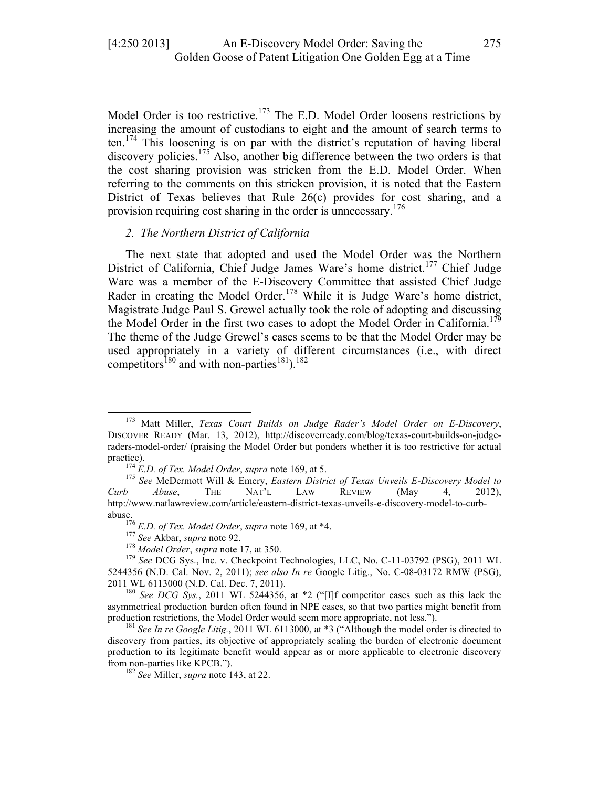Model Order is too restrictive.<sup>173</sup> The E.D. Model Order loosens restrictions by increasing the amount of custodians to eight and the amount of search terms to ten.<sup>174</sup> This loosening is on par with the district's reputation of having liberal discovery policies.<sup>175</sup> Also, another big difference between the two orders is that the cost sharing provision was stricken from the E.D. Model Order. When referring to the comments on this stricken provision, it is noted that the Eastern District of Texas believes that Rule 26(c) provides for cost sharing, and a provision requiring cost sharing in the order is unnecessary.<sup>176</sup>

# *2. The Northern District of California*

The next state that adopted and used the Model Order was the Northern District of California, Chief Judge James Ware's home district.<sup>177</sup> Chief Judge Ware was a member of the E-Discovery Committee that assisted Chief Judge Rader in creating the Model Order.<sup>178</sup> While it is Judge Ware's home district, Magistrate Judge Paul S. Grewel actually took the role of adopting and discussing the Model Order in the first two cases to adopt the Model Order in California.<sup>179</sup> The theme of the Judge Grewel's cases seems to be that the Model Order may be used appropriately in a variety of different circumstances (i.e., with direct competitors<sup>180</sup> and with non-parties<sup>181</sup>).<sup>182</sup>

<sup>173</sup> Matt Miller, *Texas Court Builds on Judge Rader's Model Order on E-Discovery*, DISCOVER READY (Mar. 13, 2012), http://discoverready.com/blog/texas-court-builds-on-judgeraders-model-order/ (praising the Model Order but ponders whether it is too restrictive for actual practice).<br><sup>174</sup> *E.D. of Tex. Model Order, supra* note 169, at 5.<br><sup>175</sup> *See* McDermott Will & Emery, *Eastern District of Texas Unveils E-Discovery Model to* 

*Curb Abuse*, THE NAT'L LAW REVIEW (May 4, 2012), http://www.natlawreview.com/article/eastern-district-texas-unveils-e-discovery-model-to-curb-

abuse.<br><sup>176</sup> E.D. of Tex. Model Order, supra note 169, at \*4.<br><sup>177</sup> See Akbar, supra note 92.<br><sup>178</sup> Model Order, supra note 17, at 350.<br><sup>179</sup> See DCG Sys., Inc. v. Checkpoint Technologies, LLC, No. C-11-03792 (PSG), 2011 W 5244356 (N.D. Cal. Nov. 2, 2011); *see also In re* Google Litig., No. C-08-03172 RMW (PSG), 2011 WL 6113000 (N.D. Cal. Dec. 7, 2011). <sup>180</sup> *See DCG Sys.*, 2011 WL 5244356, at \*2 ("[I]f competitor cases such as this lack the

asymmetrical production burden often found in NPE cases, so that two parties might benefit from production restrictions, the Model Order would seem more appropriate, not less.").<br><sup>181</sup> *See In re Google Litig.*, 2011 WL 6113000, at \*3 ("Although the model order is directed to

discovery from parties, its objective of appropriately scaling the burden of electronic document production to its legitimate benefit would appear as or more applicable to electronic discovery from non-parties like KPCB."). <sup>182</sup> *See* Miller, *supra* note 143, at 22.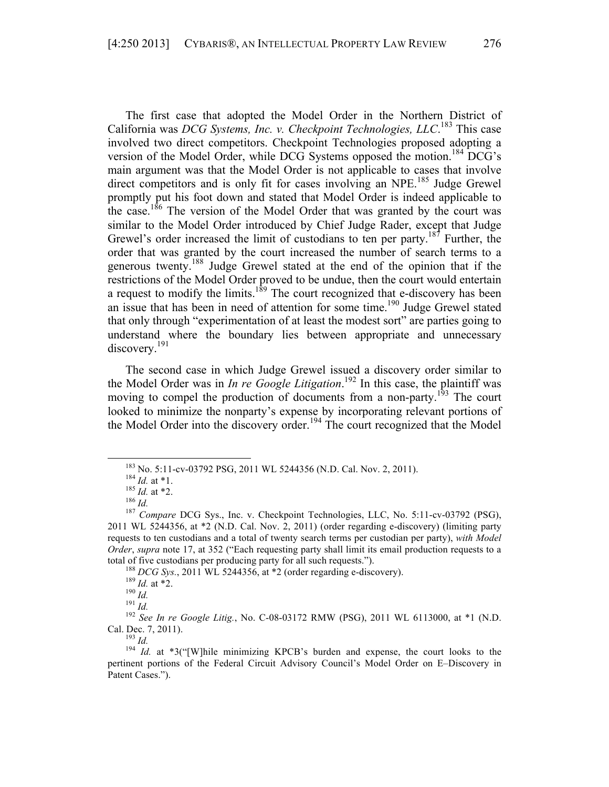The first case that adopted the Model Order in the Northern District of California was *DCG Systems, Inc. v. Checkpoint Technologies, LLC*. <sup>183</sup> This case involved two direct competitors. Checkpoint Technologies proposed adopting a version of the Model Order, while DCG Systems opposed the motion.<sup>184</sup> DCG's main argument was that the Model Order is not applicable to cases that involve direct competitors and is only fit for cases involving an NPE.<sup>185</sup> Judge Grewel promptly put his foot down and stated that Model Order is indeed applicable to the case.<sup>186</sup> The version of the Model Order that was granted by the court was similar to the Model Order introduced by Chief Judge Rader, except that Judge Grewel's order increased the limit of custodians to ten per party.<sup>187</sup> Further, the order that was granted by the court increased the number of search terms to a generous twenty.188 Judge Grewel stated at the end of the opinion that if the restrictions of the Model Order proved to be undue, then the court would entertain a request to modify the limits.<sup>189</sup> The court recognized that e-discovery has been an issue that has been in need of attention for some time.<sup>190</sup> Judge Grewel stated that only through "experimentation of at least the modest sort" are parties going to understand where the boundary lies between appropriate and unnecessary discovery.<sup>191</sup>

The second case in which Judge Grewel issued a discovery order similar to the Model Order was in *In re Google Litigation*. <sup>192</sup> In this case, the plaintiff was moving to compel the production of documents from a non-party.<sup>193</sup> The court looked to minimize the nonparty's expense by incorporating relevant portions of the Model Order into the discovery order.<sup>194</sup> The court recognized that the Model

<sup>183</sup> No. 5:11-cv-03792 PSG, 2011 WL 5244356 (N.D. Cal. Nov. 2, 2011).<br>
184 *Id.* at \*1.<br>
185 *Id.* at \*2.<br>
186 *Id.*<br>
187 *Compare* DCG Sys., Inc. v. Checkpoint Technologies, LLC, No. 5:11-cv-03792 (PSG), 2011 WL 5244356, at \*2 (N.D. Cal. Nov. 2, 2011) (order regarding e-discovery) (limiting party requests to ten custodians and a total of twenty search terms per custodian per party), *with Model Order*, *supra* note 17, at 352 ("Each requesting party shall limit its email production requests to a

total of five custodians per producing party for all such requests.").<br>
<sup>188</sup> DCG Sys., 2011 WL 5244356, at \*2 (order regarding e-discovery).<br>
<sup>189</sup> Id. at \*2.<br>
<sup>190</sup> Id.<br>
<sup>191</sup> Id.<br>
<sup>191</sup> Id.<br>
<sup>192</sup> See In re Google Liti

Cal. Dec. 7, 2011).<br><sup>193</sup> *Id.*  $1^{94}$  *Id.* at \*3("[W]hile minimizing KPCB's burden and expense, the court looks to the pertinent portions of the Federal Circuit Advisory Council's Model Order on E–Discovery in Patent Cases.").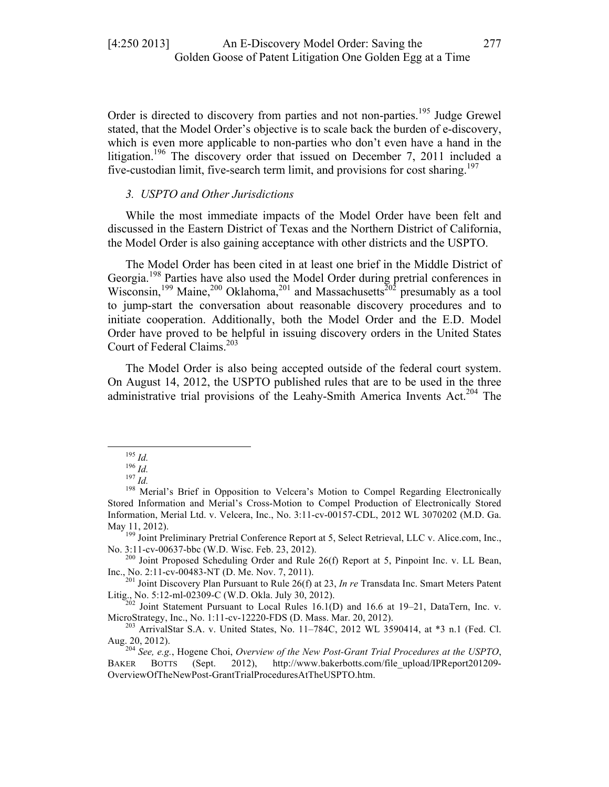Order is directed to discovery from parties and not non-parties.<sup>195</sup> Judge Grewel stated, that the Model Order's objective is to scale back the burden of e-discovery, which is even more applicable to non-parties who don't even have a hand in the litigation.<sup>196</sup> The discovery order that issued on December 7, 2011 included a five-custodian limit, five-search term limit, and provisions for cost sharing.<sup>197</sup>

#### *3. USPTO and Other Jurisdictions*

While the most immediate impacts of the Model Order have been felt and discussed in the Eastern District of Texas and the Northern District of California, the Model Order is also gaining acceptance with other districts and the USPTO.

The Model Order has been cited in at least one brief in the Middle District of Georgia.<sup>198</sup> Parties have also used the Model Order during pretrial conferences in Wisconsin,<sup>199</sup> Maine,<sup>200</sup> Oklahoma,<sup>201</sup> and Massachusetts<sup>202</sup> presumably as a tool to jump-start the conversation about reasonable discovery procedures and to initiate cooperation. Additionally, both the Model Order and the E.D. Model Order have proved to be helpful in issuing discovery orders in the United States Court of Federal Claims.<sup>203</sup>

The Model Order is also being accepted outside of the federal court system. On August 14, 2012, the USPTO published rules that are to be used in the three administrative trial provisions of the Leahy-Smith America Invents Act.<sup>204</sup> The

No. 3:11-cv-00637-bbc (W.D. Wisc. Feb. 23, 2012).<br><sup>200</sup> Joint Proposed Scheduling Order and Rule 26(f) Report at 5, Pinpoint Inc. v. LL Bean,

Litig., No. 5:12-ml-02309-C (W.D. Okla. July 30, 2012).<br><sup>202</sup> Joint Statement Pursuant to Local Rules 16.1(D) and 16.6 at 19–21, DataTern, Inc. v.

MicroStrategy, Inc., No. 1:11-cv-12220-FDS (D. Mass. Mar. 20, 2012).<br><sup>203</sup> ArrivalStar S.A. v. United States, No. 11–784C, 2012 WL 3590414, at \*3 n.1 (Fed. Cl. Aug. 20, 2012).

<sup>204</sup> See, e.g., Hogene Choi, *Overview of the New Post-Grant Trial Procedures at the USPTO*, BAKER BOTTS (Sept. 2012), http://www.bakerbotts.com/file\_upload/IPReport201209- OverviewOfTheNewPost-GrantTrialProceduresAtTheUSPTO.htm.

<sup>195</sup> *Id.*<br><sup>196</sup> *Id.*<br><sup>197</sup> *Id.* Merial's Brief in Opposition to Velcera's Motion to Compel Regarding Electronically Stored Information and Merial's Cross-Motion to Compel Production of Electronically Stored Information, Merial Ltd. v. Velcera, Inc., No. 3:11-cv-00157-CDL, 2012 WL 3070202 (M.D. Ga. May 11, 2012).<br><sup>199</sup> Joint Preliminary Pretrial Conference Report at 5, Select Retrieval, LLC v. Alice.com, Inc.,

Inc., No. 2:11-cv-00483-NT (D. Me. Nov. 7, 2011). <sup>201</sup> Joint Discovery Plan Pursuant to Rule 26(f) at 23, *In re* Transdata Inc. Smart Meters Patent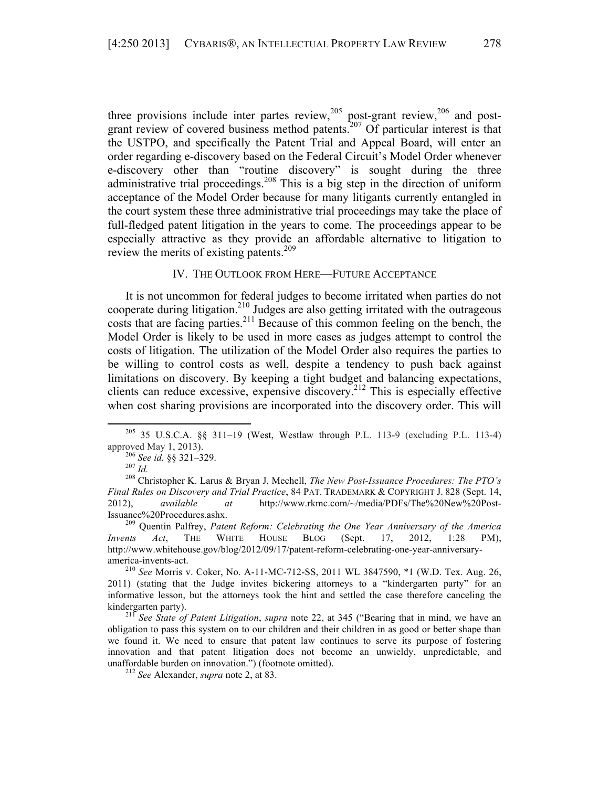three provisions include inter partes review,<sup>205</sup> post-grant review,<sup>206</sup> and postgrant review of covered business method patents.<sup>207</sup> Of particular interest is that the USTPO, and specifically the Patent Trial and Appeal Board, will enter an order regarding e-discovery based on the Federal Circuit's Model Order whenever e-discovery other than "routine discovery" is sought during the three administrative trial proceedings.<sup>208</sup> This is a big step in the direction of uniform acceptance of the Model Order because for many litigants currently entangled in the court system these three administrative trial proceedings may take the place of full-fledged patent litigation in the years to come. The proceedings appear to be especially attractive as they provide an affordable alternative to litigation to review the merits of existing patents.<sup>209</sup>

# IV. THE OUTLOOK FROM HERE—FUTURE ACCEPTANCE

It is not uncommon for federal judges to become irritated when parties do not cooperate during litigation.<sup>210</sup> Judges are also getting irritated with the outrageous costs that are facing parties.<sup>211</sup> Because of this common feeling on the bench, the Model Order is likely to be used in more cases as judges attempt to control the costs of litigation. The utilization of the Model Order also requires the parties to be willing to control costs as well, despite a tendency to push back against limitations on discovery. By keeping a tight budget and balancing expectations, clients can reduce excessive, expensive discovery.212 This is especially effective when cost sharing provisions are incorporated into the discovery order. This will

<sup>&</sup>lt;sup>205</sup> 35 U.S.C.A. §§ 311–19 (West, Westlaw through P.L. 113-9 (excluding P.L. 113-4)

approved May 1, 2013).<br><sup>206</sup> *See id.* §§ 321–329.<br><sup>207</sup> *Id.* Christopher K. Larus & Bryan J. Mechell, *The New Post-Issuance Procedures: The PTO's Final Rules on Discovery and Trial Practice*, 84 PAT. TRADEMARK & COPYRIGHT J. 828 (Sept. 14, 2012), *available at* http://www.rkmc.com/~/media/PDFs/The%20New%20Post-Issuance%20Procedures.ashx. <sup>209</sup> Quentin Palfrey, *Patent Reform: Celebrating the One Year Anniversary of the America* 

*Invents Act*, THE WHITE HOUSE BLOG (Sept. 17, 2012, 1:28 PM), http://www.whitehouse.gov/blog/2012/09/17/patent-reform-celebrating-one-year-anniversaryamerica-invents-act. <sup>210</sup> *See* Morris v. Coker, No. A-11-MC-712-SS, 2011 WL 3847590, \*1 (W.D. Tex. Aug. 26,

<sup>2011) (</sup>stating that the Judge invites bickering attorneys to a "kindergarten party" for an informative lesson, but the attorneys took the hint and settled the case therefore canceling the

kindergarten party). <sup>211</sup> *See State of Patent Litigation*, *supra* note 22, at 345 ("Bearing that in mind, we have an obligation to pass this system on to our children and their children in as good or better shape than we found it. We need to ensure that patent law continues to serve its purpose of fostering innovation and that patent litigation does not become an unwieldy, unpredictable, and unaffordable burden on innovation.") (footnote omitted). <sup>212</sup> *See* Alexander, *supra* note 2, at 83.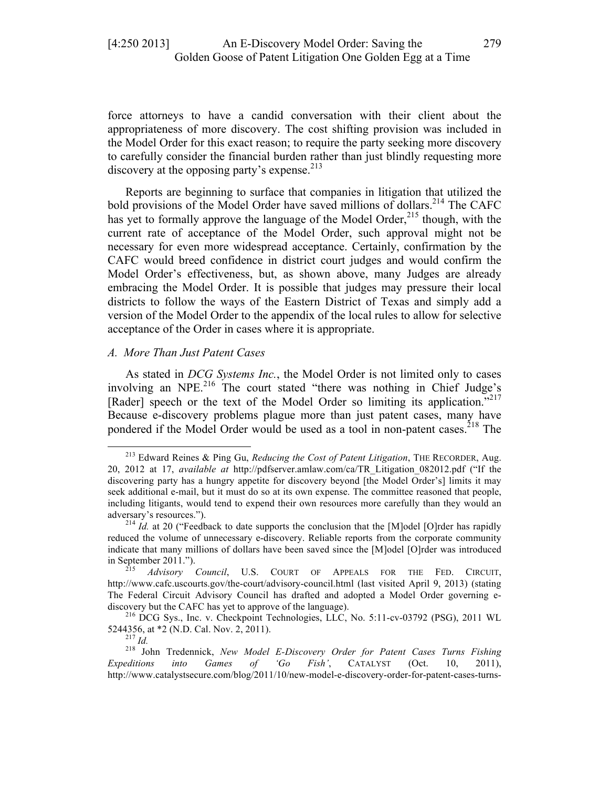force attorneys to have a candid conversation with their client about the appropriateness of more discovery. The cost shifting provision was included in the Model Order for this exact reason; to require the party seeking more discovery to carefully consider the financial burden rather than just blindly requesting more discovery at the opposing party's expense. $2^{13}$ 

Reports are beginning to surface that companies in litigation that utilized the bold provisions of the Model Order have saved millions of dollars.<sup>214</sup> The CAFC has yet to formally approve the language of the Model Order,<sup>215</sup> though, with the current rate of acceptance of the Model Order, such approval might not be necessary for even more widespread acceptance. Certainly, confirmation by the CAFC would breed confidence in district court judges and would confirm the Model Order's effectiveness, but, as shown above, many Judges are already embracing the Model Order. It is possible that judges may pressure their local districts to follow the ways of the Eastern District of Texas and simply add a version of the Model Order to the appendix of the local rules to allow for selective acceptance of the Order in cases where it is appropriate.

#### *A. More Than Just Patent Cases*

 

As stated in *DCG Systems Inc.*, the Model Order is not limited only to cases involving an NPE.<sup>216</sup> The court stated "there was nothing in Chief Judge's [Rader] speech or the text of the Model Order so limiting its application."<sup>217</sup> Because e-discovery problems plague more than just patent cases, many have pondered if the Model Order would be used as a tool in non-patent cases.<sup>218</sup> The

<sup>213</sup> Edward Reines & Ping Gu, *Reducing the Cost of Patent Litigation*, THE RECORDER, Aug. 20, 2012 at 17, *available at* http://pdfserver.amlaw.com/ca/TR\_Litigation\_082012.pdf ("If the discovering party has a hungry appetite for discovery beyond [the Model Order's] limits it may seek additional e-mail, but it must do so at its own expense. The committee reasoned that people, including litigants, would tend to expend their own resources more carefully than they would an adversary's resources.").<br><sup>214</sup> *Id.* at 20 ("Feedback to date supports the conclusion that the [M]odel [O]rder has rapidly

reduced the volume of unnecessary e-discovery. Reliable reports from the corporate community indicate that many millions of dollars have been saved since the [M]odel [O]rder was introduced in September 2011."). <sup>215</sup> *Advisory Council*, U.S. COURT OF APPEALS FOR THE FED. CIRCUIT,

http://www.cafc.uscourts.gov/the-court/advisory-council.html (last visited April 9, 2013) (stating The Federal Circuit Advisory Council has drafted and adopted a Model Order governing ediscovery but the CAFC has yet to approve of the language).<br><sup>216</sup> DCG Sys., Inc. v. Checkpoint Technologies, LLC, No. 5:11-cv-03792 (PSG), 2011 WL

<sup>5244356,</sup> at \*2 (N.D. Cal. Nov. 2, 2011). <sup>217</sup> *Id.* <sup>218</sup> John Tredennick, *New Model E-Discovery Order for Patent Cases Turns Fishing Expeditions into Games of 'Go Fish'*, CATALYST (Oct. 10, 2011), http://www.catalystsecure.com/blog/2011/10/new-model-e-discovery-order-for-patent-cases-turns-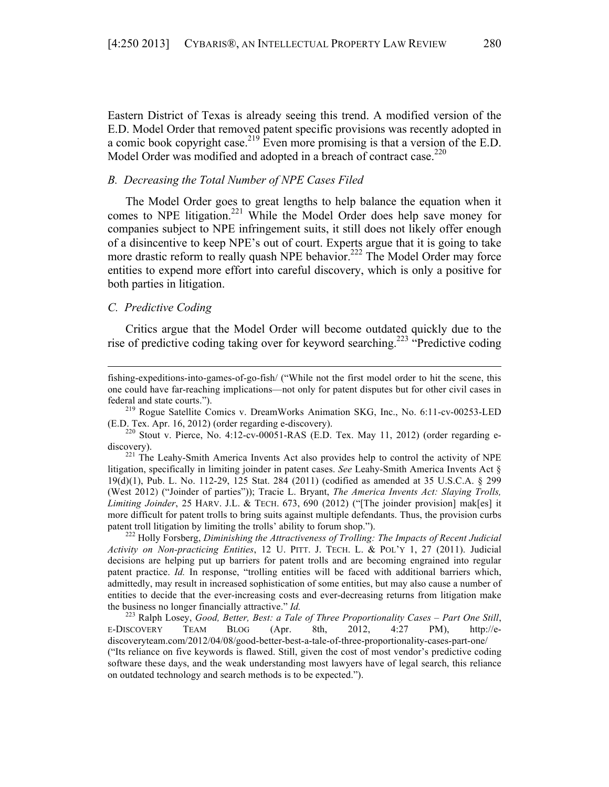Eastern District of Texas is already seeing this trend. A modified version of the E.D. Model Order that removed patent specific provisions was recently adopted in a comic book copyright case.<sup>219</sup> Even more promising is that a version of the E.D. Model Order was modified and adopted in a breach of contract case.<sup>220</sup>

#### *B. Decreasing the Total Number of NPE Cases Filed*

The Model Order goes to great lengths to help balance the equation when it comes to NPE litigation.<sup>221</sup> While the Model Order does help save money for companies subject to NPE infringement suits, it still does not likely offer enough of a disincentive to keep NPE's out of court. Experts argue that it is going to take more drastic reform to really quash NPE behavior.<sup>222</sup> The Model Order may force entities to expend more effort into careful discovery, which is only a positive for both parties in litigation.

# *C. Predictive Coding*

Critics argue that the Model Order will become outdated quickly due to the rise of predictive coding taking over for keyword searching.<sup>223</sup> "Predictive coding

<u> 1989 - Andrea Santa Alemania, amerikana amerikana amerikana amerikana amerikana amerikana amerikana amerikana</u>

fishing-expeditions-into-games-of-go-fish/ ("While not the first model order to hit the scene, this one could have far-reaching implications—not only for patent disputes but for other civil cases in federal and state courts."). <sup>219</sup> Rogue Satellite Comics v. DreamWorks Animation SKG, Inc., No. 6:11-cv-00253-LED

<sup>(</sup>E.D. Tex. Apr. 16, 2012) (order regarding e-discovery).<br><sup>220</sup> Stout v. Pierce, No. 4:12-cv-00051-RAS (E.D. Tex. May 11, 2012) (order regarding e-

discovery).<br><sup>221</sup> The Leahy-Smith America Invents Act also provides help to control the activity of NPE litigation, specifically in limiting joinder in patent cases. *See* Leahy-Smith America Invents Act § 19(d)(1), Pub. L. No. 112-29, 125 Stat. 284 (2011) (codified as amended at 35 U.S.C.A. § 299 (West 2012) ("Joinder of parties")); Tracie L. Bryant, *The America Invents Act: Slaying Trolls, Limiting Joinder*, 25 HARV. J.L. & TECH. 673, 690 (2012) ("[The joinder provision] mak[es] it more difficult for patent trolls to bring suits against multiple defendants. Thus, the provision curbs patent troll litigation by limiting the trolls' ability to forum shop.").<br><sup>222</sup> Holly Forsberg, *Diminishing the Attractiveness of Trolling: The Impacts of Recent Judicial* 

*Activity on Non-practicing Entities*, 12 U. PITT. J. TECH. L. & POL'Y 1, 27 (2011). Judicial decisions are helping put up barriers for patent trolls and are becoming engrained into regular patent practice. *Id.* In response, "trolling entities will be faced with additional barriers which, admittedly, may result in increased sophistication of some entities, but may also cause a number of entities to decide that the ever-increasing costs and ever-decreasing returns from litigation make the business no longer financially attractive." *Id.* <sup>223</sup> Ralph Losey, *Good, Better, Best: a Tale of Three Proportionality Cases – Part One Still*,

E-DISCOVERY TEAM BLOG (Apr. 8th, 2012, 4:27 PM), http://ediscoveryteam.com/2012/04/08/good-better-best-a-tale-of-three-proportionality-cases-part-one/ ("Its reliance on five keywords is flawed. Still, given the cost of most vendor's predictive coding software these days, and the weak understanding most lawyers have of legal search, this reliance on outdated technology and search methods is to be expected.").